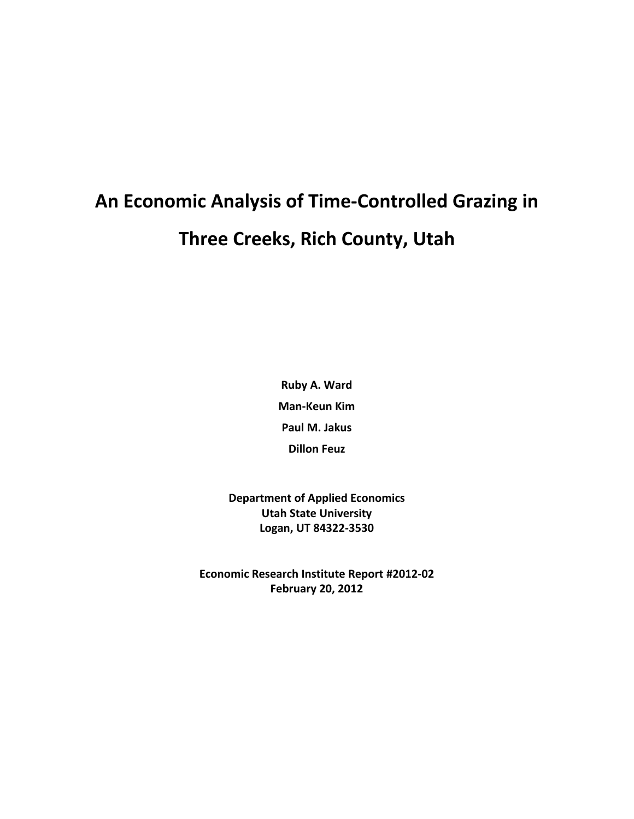# **An Economic Analysis of Time-Controlled Grazing in Three Creeks, Rich County, Utah**

**Ruby A. Ward Man-Keun Kim Paul M. Jakus Dillon Feuz**

**Department of Applied Economics Utah State University Logan, UT 84322-3530**

**Economic Research Institute Report #2012-02 February 20, 2012**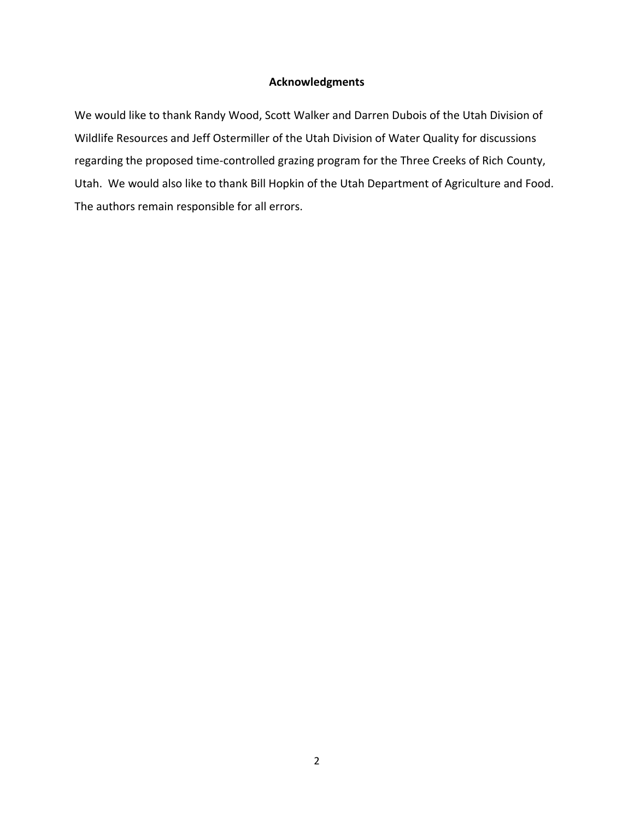#### **Acknowledgments**

We would like to thank Randy Wood, Scott Walker and Darren Dubois of the Utah Division of Wildlife Resources and Jeff Ostermiller of the Utah Division of Water Quality for discussions regarding the proposed time-controlled grazing program for the Three Creeks of Rich County, Utah. We would also like to thank Bill Hopkin of the Utah Department of Agriculture and Food. The authors remain responsible for all errors.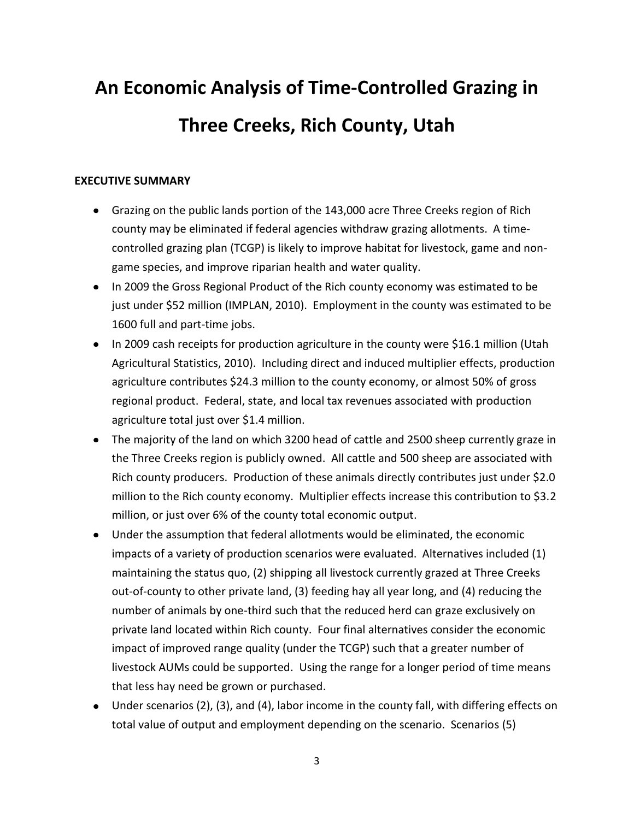# **An Economic Analysis of Time-Controlled Grazing in Three Creeks, Rich County, Utah**

#### **EXECUTIVE SUMMARY**

- Grazing on the public lands portion of the 143,000 acre Three Creeks region of Rich county may be eliminated if federal agencies withdraw grazing allotments. A timecontrolled grazing plan (TCGP) is likely to improve habitat for livestock, game and nongame species, and improve riparian health and water quality.
- In 2009 the Gross Regional Product of the Rich county economy was estimated to be just under \$52 million (IMPLAN, 2010). Employment in the county was estimated to be 1600 full and part-time jobs.
- In 2009 cash receipts for production agriculture in the county were \$16.1 million (Utah Agricultural Statistics, 2010). Including direct and induced multiplier effects, production agriculture contributes \$24.3 million to the county economy, or almost 50% of gross regional product. Federal, state, and local tax revenues associated with production agriculture total just over \$1.4 million.
- The majority of the land on which 3200 head of cattle and 2500 sheep currently graze in the Three Creeks region is publicly owned. All cattle and 500 sheep are associated with Rich county producers. Production of these animals directly contributes just under \$2.0 million to the Rich county economy. Multiplier effects increase this contribution to \$3.2 million, or just over 6% of the county total economic output.
- Under the assumption that federal allotments would be eliminated, the economic impacts of a variety of production scenarios were evaluated. Alternatives included (1) maintaining the status quo, (2) shipping all livestock currently grazed at Three Creeks out-of-county to other private land, (3) feeding hay all year long, and (4) reducing the number of animals by one-third such that the reduced herd can graze exclusively on private land located within Rich county. Four final alternatives consider the economic impact of improved range quality (under the TCGP) such that a greater number of livestock AUMs could be supported. Using the range for a longer period of time means that less hay need be grown or purchased.
- Under scenarios (2), (3), and (4), labor income in the county fall, with differing effects on total value of output and employment depending on the scenario. Scenarios (5)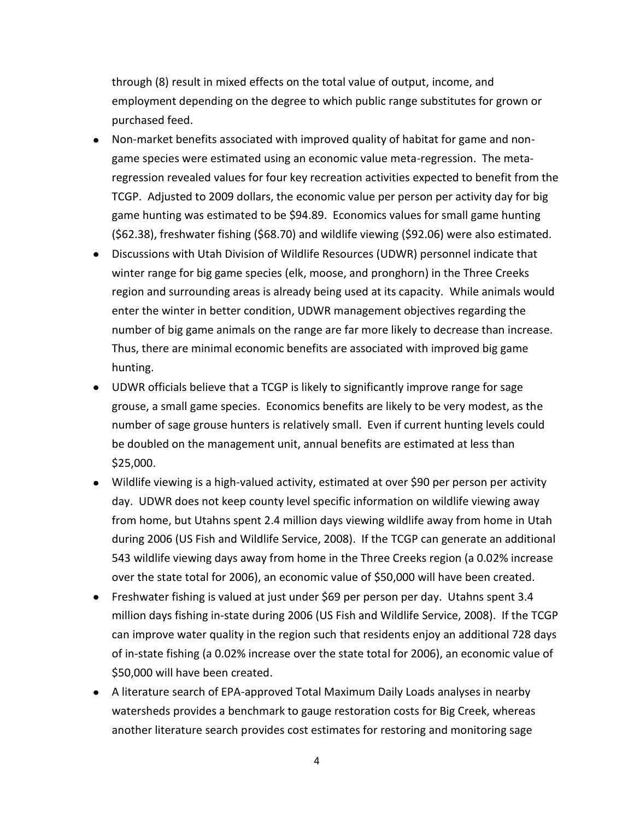through (8) result in mixed effects on the total value of output, income, and employment depending on the degree to which public range substitutes for grown or purchased feed.

- Non-market benefits associated with improved quality of habitat for game and nongame species were estimated using an economic value meta-regression. The metaregression revealed values for four key recreation activities expected to benefit from the TCGP. Adjusted to 2009 dollars, the economic value per person per activity day for big game hunting was estimated to be \$94.89. Economics values for small game hunting (\$62.38), freshwater fishing (\$68.70) and wildlife viewing (\$92.06) were also estimated.
- Discussions with Utah Division of Wildlife Resources (UDWR) personnel indicate that winter range for big game species (elk, moose, and pronghorn) in the Three Creeks region and surrounding areas is already being used at its capacity. While animals would enter the winter in better condition, UDWR management objectives regarding the number of big game animals on the range are far more likely to decrease than increase. Thus, there are minimal economic benefits are associated with improved big game hunting.
- UDWR officials believe that a TCGP is likely to significantly improve range for sage grouse, a small game species. Economics benefits are likely to be very modest, as the number of sage grouse hunters is relatively small. Even if current hunting levels could be doubled on the management unit, annual benefits are estimated at less than \$25,000.
- Wildlife viewing is a high-valued activity, estimated at over \$90 per person per activity day. UDWR does not keep county level specific information on wildlife viewing away from home, but Utahns spent 2.4 million days viewing wildlife away from home in Utah during 2006 (US Fish and Wildlife Service, 2008). If the TCGP can generate an additional 543 wildlife viewing days away from home in the Three Creeks region (a 0.02% increase over the state total for 2006), an economic value of \$50,000 will have been created.
- Freshwater fishing is valued at just under \$69 per person per day. Utahns spent 3.4 million days fishing in-state during 2006 (US Fish and Wildlife Service, 2008). If the TCGP can improve water quality in the region such that residents enjoy an additional 728 days of in-state fishing (a 0.02% increase over the state total for 2006), an economic value of \$50,000 will have been created.
- A literature search of EPA-approved Total Maximum Daily Loads analyses in nearby watersheds provides a benchmark to gauge restoration costs for Big Creek, whereas another literature search provides cost estimates for restoring and monitoring sage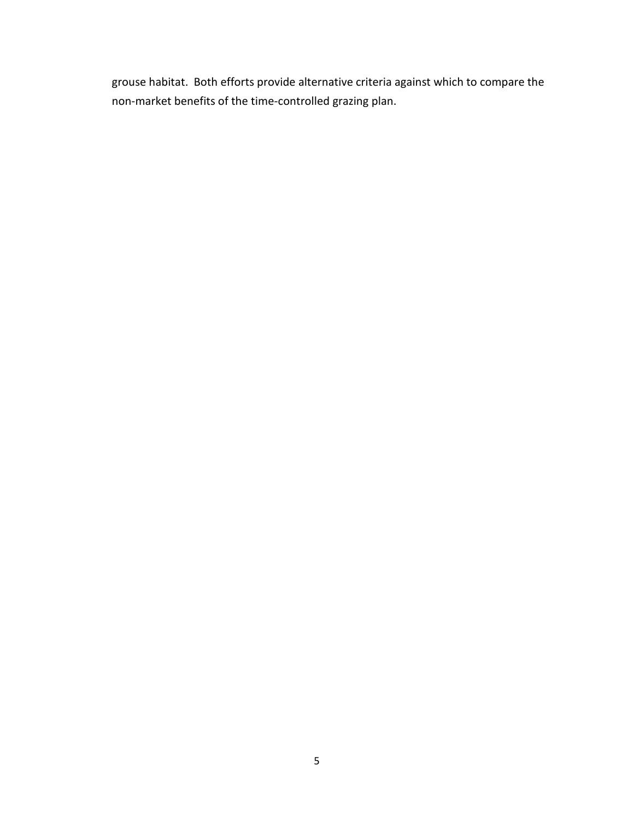grouse habitat. Both efforts provide alternative criteria against which to compare the non-market benefits of the time-controlled grazing plan.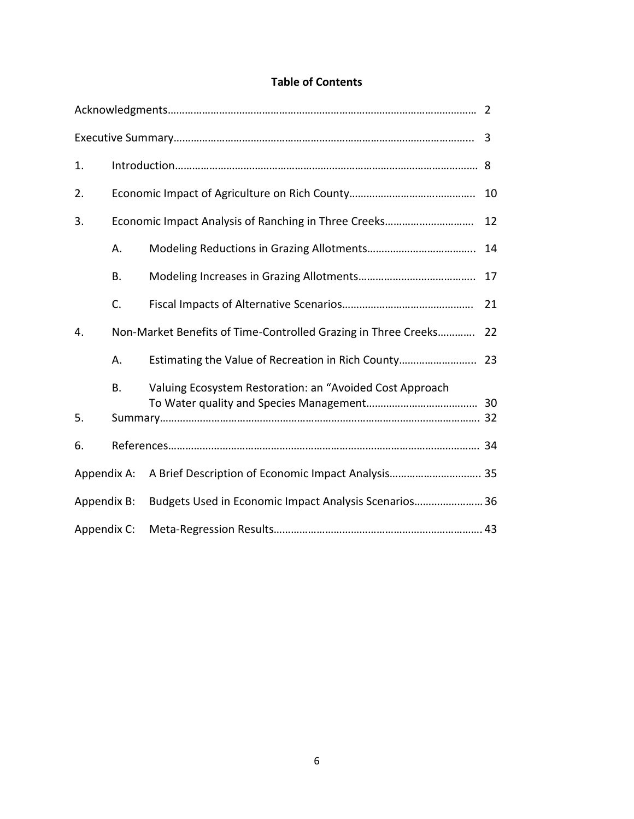### **Table of Contents**

| 1.                                                                   |           |                                                                |    |  |  |  |
|----------------------------------------------------------------------|-----------|----------------------------------------------------------------|----|--|--|--|
| 2.                                                                   |           |                                                                | 10 |  |  |  |
| 3.                                                                   |           |                                                                | 12 |  |  |  |
|                                                                      | А.        |                                                                |    |  |  |  |
|                                                                      | <b>B.</b> |                                                                | 17 |  |  |  |
|                                                                      | C.        |                                                                | 21 |  |  |  |
| 4.                                                                   |           | Non-Market Benefits of Time-Controlled Grazing in Three Creeks | 22 |  |  |  |
|                                                                      | А.        | Estimating the Value of Recreation in Rich County 23           |    |  |  |  |
|                                                                      | B.        | Valuing Ecosystem Restoration: an "Avoided Cost Approach       |    |  |  |  |
| 5.                                                                   |           |                                                                |    |  |  |  |
| 6.                                                                   |           |                                                                |    |  |  |  |
| Appendix A:                                                          |           | A Brief Description of Economic Impact Analysis 35             |    |  |  |  |
| Budgets Used in Economic Impact Analysis Scenarios 36<br>Appendix B: |           |                                                                |    |  |  |  |
| Appendix C:                                                          |           |                                                                |    |  |  |  |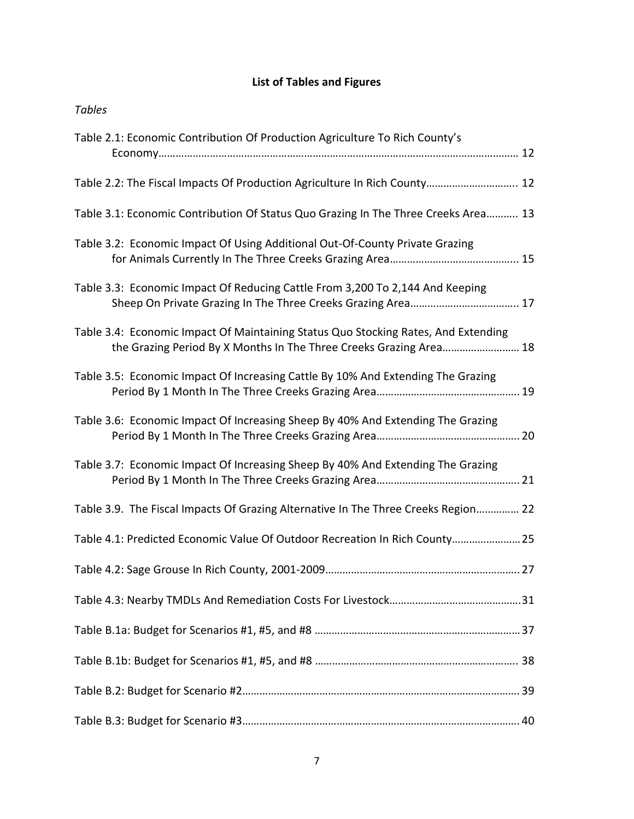### **List of Tables and Figures**

| <b>Tables</b>                                                                                                                                            |
|----------------------------------------------------------------------------------------------------------------------------------------------------------|
| Table 2.1: Economic Contribution Of Production Agriculture To Rich County's                                                                              |
| Table 2.2: The Fiscal Impacts Of Production Agriculture In Rich County 12                                                                                |
| Table 3.1: Economic Contribution Of Status Quo Grazing In The Three Creeks Area 13                                                                       |
| Table 3.2: Economic Impact Of Using Additional Out-Of-County Private Grazing                                                                             |
| Table 3.3: Economic Impact Of Reducing Cattle From 3,200 To 2,144 And Keeping                                                                            |
| Table 3.4: Economic Impact Of Maintaining Status Quo Stocking Rates, And Extending<br>the Grazing Period By X Months In The Three Creeks Grazing Area 18 |
| Table 3.5: Economic Impact Of Increasing Cattle By 10% And Extending The Grazing                                                                         |
| Table 3.6: Economic Impact Of Increasing Sheep By 40% And Extending The Grazing                                                                          |
| Table 3.7: Economic Impact Of Increasing Sheep By 40% And Extending The Grazing                                                                          |
| Table 3.9. The Fiscal Impacts Of Grazing Alternative In The Three Creeks Region 22                                                                       |
| Table 4.1: Predicted Economic Value Of Outdoor Recreation In Rich County 25                                                                              |
|                                                                                                                                                          |
|                                                                                                                                                          |
|                                                                                                                                                          |
|                                                                                                                                                          |
|                                                                                                                                                          |
|                                                                                                                                                          |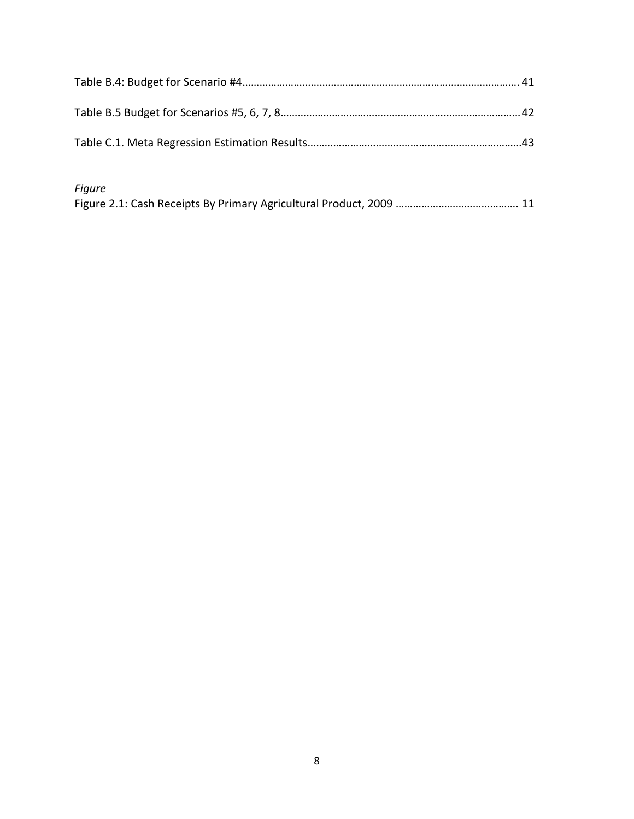| <b>Figure</b> |  |
|---------------|--|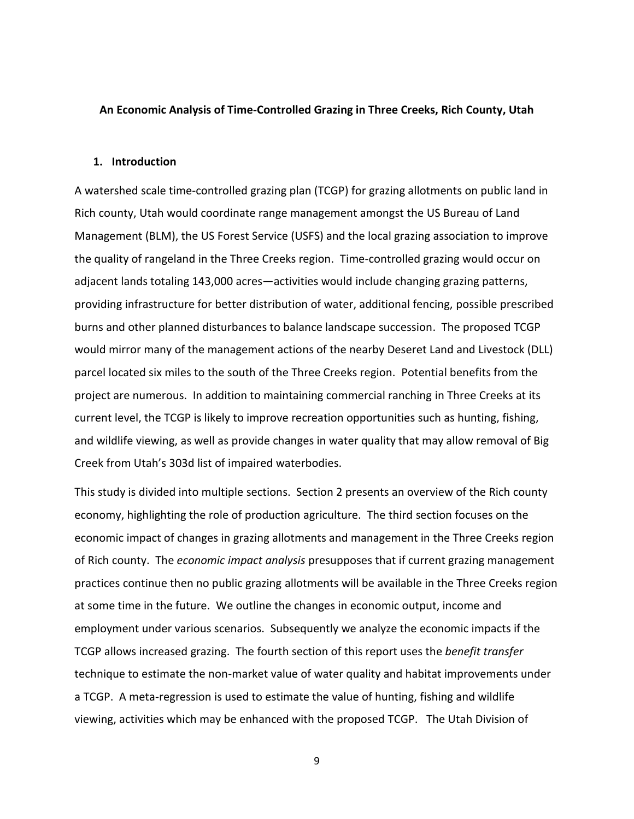#### **An Economic Analysis of Time-Controlled Grazing in Three Creeks, Rich County, Utah**

#### **1. Introduction**

A watershed scale time-controlled grazing plan (TCGP) for grazing allotments on public land in Rich county, Utah would coordinate range management amongst the US Bureau of Land Management (BLM), the US Forest Service (USFS) and the local grazing association to improve the quality of rangeland in the Three Creeks region. Time-controlled grazing would occur on adjacent lands totaling 143,000 acres—activities would include changing grazing patterns, providing infrastructure for better distribution of water, additional fencing, possible prescribed burns and other planned disturbances to balance landscape succession. The proposed TCGP would mirror many of the management actions of the nearby Deseret Land and Livestock (DLL) parcel located six miles to the south of the Three Creeks region. Potential benefits from the project are numerous. In addition to maintaining commercial ranching in Three Creeks at its current level, the TCGP is likely to improve recreation opportunities such as hunting, fishing, and wildlife viewing, as well as provide changes in water quality that may allow removal of Big Creek from Utah's 303d list of impaired waterbodies.

This study is divided into multiple sections. Section 2 presents an overview of the Rich county economy, highlighting the role of production agriculture. The third section focuses on the economic impact of changes in grazing allotments and management in the Three Creeks region of Rich county. The *economic impact analysis* presupposes that if current grazing management practices continue then no public grazing allotments will be available in the Three Creeks region at some time in the future. We outline the changes in economic output, income and employment under various scenarios. Subsequently we analyze the economic impacts if the TCGP allows increased grazing. The fourth section of this report uses the *benefit transfer* technique to estimate the non-market value of water quality and habitat improvements under a TCGP. A meta-regression is used to estimate the value of hunting, fishing and wildlife viewing, activities which may be enhanced with the proposed TCGP. The Utah Division of

9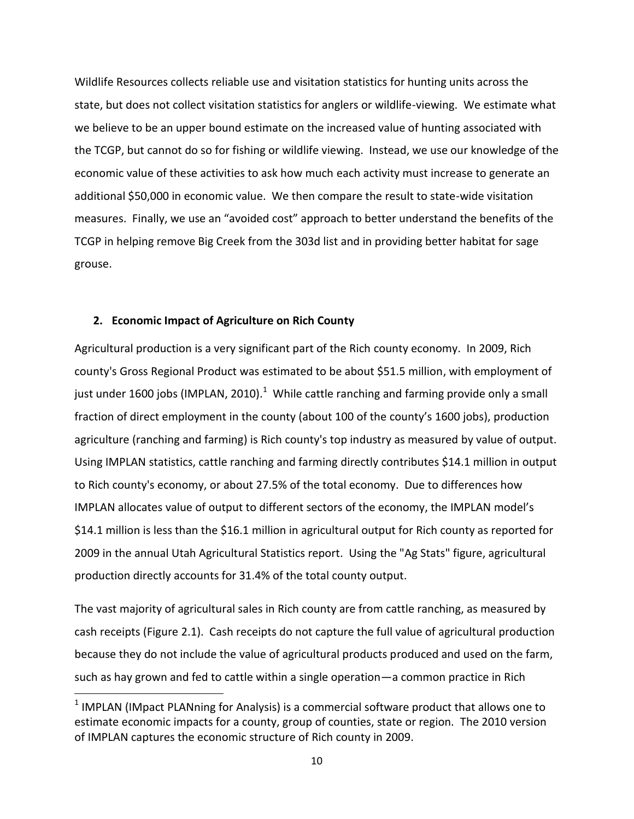Wildlife Resources collects reliable use and visitation statistics for hunting units across the state, but does not collect visitation statistics for anglers or wildlife-viewing. We estimate what we believe to be an upper bound estimate on the increased value of hunting associated with the TCGP, but cannot do so for fishing or wildlife viewing. Instead, we use our knowledge of the economic value of these activities to ask how much each activity must increase to generate an additional \$50,000 in economic value. We then compare the result to state-wide visitation measures. Finally, we use an "avoided cost" approach to better understand the benefits of the TCGP in helping remove Big Creek from the 303d list and in providing better habitat for sage grouse.

#### **2. Economic Impact of Agriculture on Rich County**

 $\overline{a}$ 

Agricultural production is a very significant part of the Rich county economy. In 2009, Rich county's Gross Regional Product was estimated to be about \$51.5 million, with employment of just under 1600 jobs (IMPLAN, 2010).<sup>1</sup> While cattle ranching and farming provide only a small fraction of direct employment in the county (about 100 of the county's 1600 jobs), production agriculture (ranching and farming) is Rich county's top industry as measured by value of output. Using IMPLAN statistics, cattle ranching and farming directly contributes \$14.1 million in output to Rich county's economy, or about 27.5% of the total economy. Due to differences how IMPLAN allocates value of output to different sectors of the economy, the IMPLAN model's \$14.1 million is less than the \$16.1 million in agricultural output for Rich county as reported for 2009 in the annual Utah Agricultural Statistics report. Using the "Ag Stats" figure, agricultural production directly accounts for 31.4% of the total county output.

The vast majority of agricultural sales in Rich county are from cattle ranching, as measured by cash receipts (Figure 2.1). Cash receipts do not capture the full value of agricultural production because they do not include the value of agricultural products produced and used on the farm, such as hay grown and fed to cattle within a single operation—a common practice in Rich

 $<sup>1</sup>$  IMPLAN (IMpact PLANning for Analysis) is a commercial software product that allows one to</sup> estimate economic impacts for a county, group of counties, state or region. The 2010 version of IMPLAN captures the economic structure of Rich county in 2009.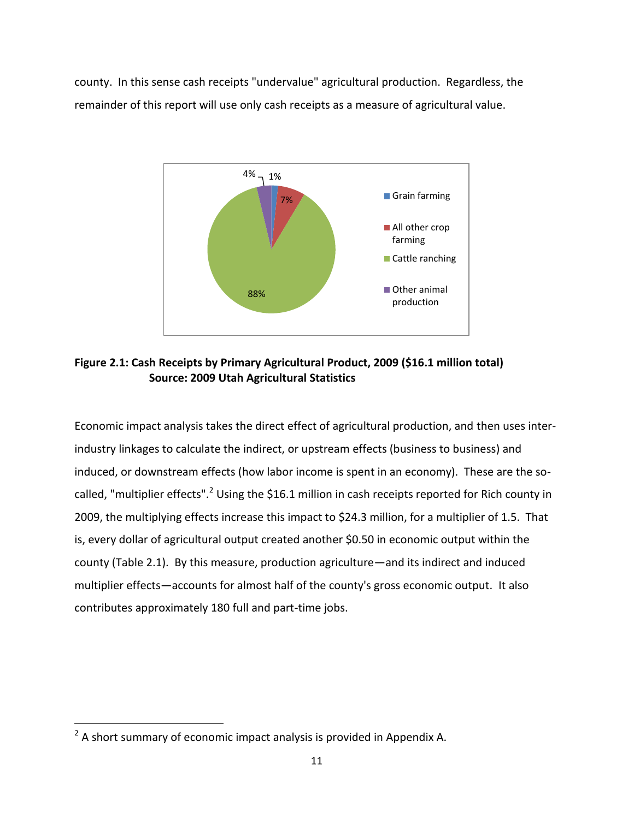county. In this sense cash receipts "undervalue" agricultural production. Regardless, the remainder of this report will use only cash receipts as a measure of agricultural value.



**Figure 2.1: Cash Receipts by Primary Agricultural Product, 2009 (\$16.1 million total) Source: 2009 Utah Agricultural Statistics**

Economic impact analysis takes the direct effect of agricultural production, and then uses interindustry linkages to calculate the indirect, or upstream effects (business to business) and induced, or downstream effects (how labor income is spent in an economy). These are the socalled, "multiplier effects".<sup>2</sup> Using the \$16.1 million in cash receipts reported for Rich county in 2009, the multiplying effects increase this impact to \$24.3 million, for a multiplier of 1.5. That is, every dollar of agricultural output created another \$0.50 in economic output within the county (Table 2.1). By this measure, production agriculture—and its indirect and induced multiplier effects—accounts for almost half of the county's gross economic output. It also contributes approximately 180 full and part-time jobs.

 $\overline{a}$ 

 $2$  A short summary of economic impact analysis is provided in Appendix A.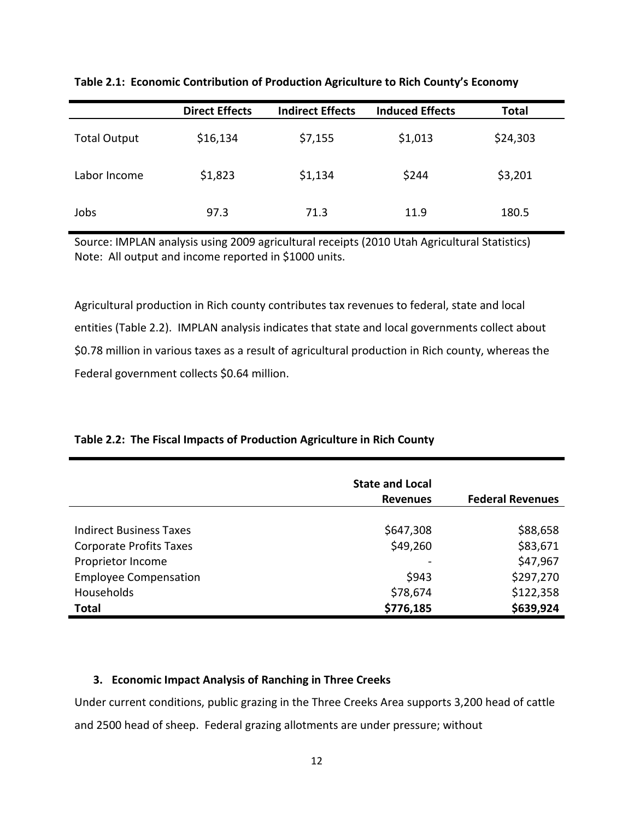|                     | <b>Direct Effects</b> | <b>Indirect Effects</b> | <b>Induced Effects</b> | <b>Total</b> |
|---------------------|-----------------------|-------------------------|------------------------|--------------|
| <b>Total Output</b> | \$16,134              | \$7,155                 | \$1,013                | \$24,303     |
| Labor Income        | \$1,823               | \$1,134                 | \$244                  | \$3,201      |
| Jobs                | 97.3                  | 71.3                    | 11.9                   | 180.5        |

**Table 2.1: Economic Contribution of Production Agriculture to Rich County's Economy**

Source: IMPLAN analysis using 2009 agricultural receipts (2010 Utah Agricultural Statistics) Note: All output and income reported in \$1000 units.

Agricultural production in Rich county contributes tax revenues to federal, state and local entities (Table 2.2). IMPLAN analysis indicates that state and local governments collect about \$0.78 million in various taxes as a result of agricultural production in Rich county, whereas the Federal government collects \$0.64 million.

#### **Table 2.2: The Fiscal Impacts of Production Agriculture in Rich County**

|                                                                  | <b>State and Local</b><br><b>Revenues</b> | <b>Federal Revenues</b> |
|------------------------------------------------------------------|-------------------------------------------|-------------------------|
|                                                                  |                                           |                         |
| <b>Indirect Business Taxes</b><br><b>Corporate Profits Taxes</b> | \$647,308<br>\$49,260                     | \$88,658<br>\$83,671    |
| Proprietor Income                                                |                                           | \$47,967                |
| <b>Employee Compensation</b>                                     | \$943                                     | \$297,270               |
| Households                                                       | \$78,674                                  | \$122,358               |
| <b>Total</b>                                                     | \$776,185                                 | \$639,924               |

#### **3. Economic Impact Analysis of Ranching in Three Creeks**

Under current conditions, public grazing in the Three Creeks Area supports 3,200 head of cattle and 2500 head of sheep. Federal grazing allotments are under pressure; without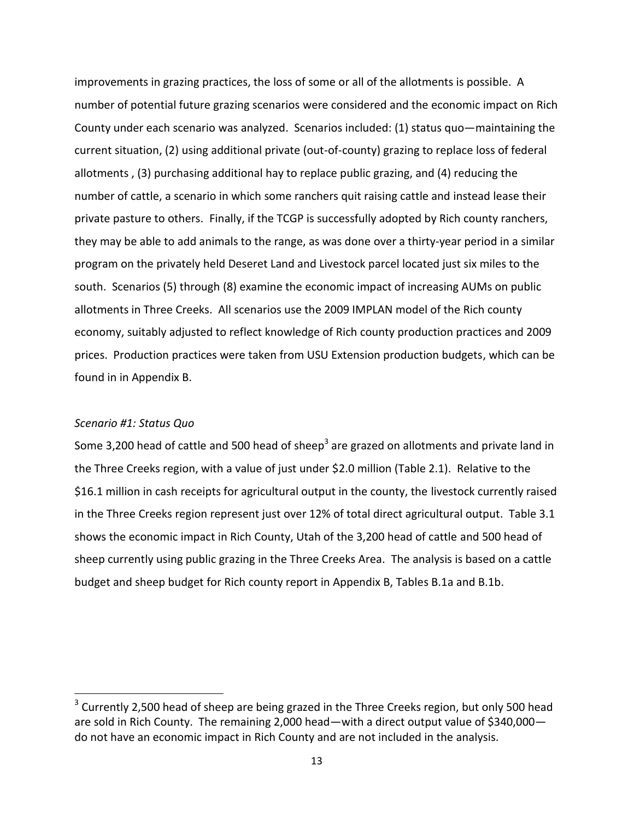improvements in grazing practices, the loss of some or all of the allotments is possible. A number of potential future grazing scenarios were considered and the economic impact on Rich County under each scenario was analyzed. Scenarios included: (1) status quo—maintaining the current situation, (2) using additional private (out-of-county) grazing to replace loss of federal allotments , (3) purchasing additional hay to replace public grazing, and (4) reducing the number of cattle, a scenario in which some ranchers quit raising cattle and instead lease their private pasture to others. Finally, if the TCGP is successfully adopted by Rich county ranchers, they may be able to add animals to the range, as was done over a thirty-year period in a similar program on the privately held Deseret Land and Livestock parcel located just six miles to the south. Scenarios (5) through (8) examine the economic impact of increasing AUMs on public allotments in Three Creeks. All scenarios use the 2009 IMPLAN model of the Rich county economy, suitably adjusted to reflect knowledge of Rich county production practices and 2009 prices. Production practices were taken from USU Extension production budgets, which can be found in in Appendix B.

#### *Scenario #1: Status Quo*

 $\overline{a}$ 

Some 3,200 head of cattle and 500 head of sheep<sup>3</sup> are grazed on allotments and private land in the Three Creeks region, with a value of just under \$2.0 million (Table 2.1). Relative to the \$16.1 million in cash receipts for agricultural output in the county, the livestock currently raised in the Three Creeks region represent just over 12% of total direct agricultural output. Table 3.1 shows the economic impact in Rich County, Utah of the 3,200 head of cattle and 500 head of sheep currently using public grazing in the Three Creeks Area. The analysis is based on a cattle budget and sheep budget for Rich county report in Appendix B, Tables B.1a and B.1b.

 $3$  Currently 2,500 head of sheep are being grazed in the Three Creeks region, but only 500 head are sold in Rich County. The remaining 2,000 head—with a direct output value of \$340,000 do not have an economic impact in Rich County and are not included in the analysis.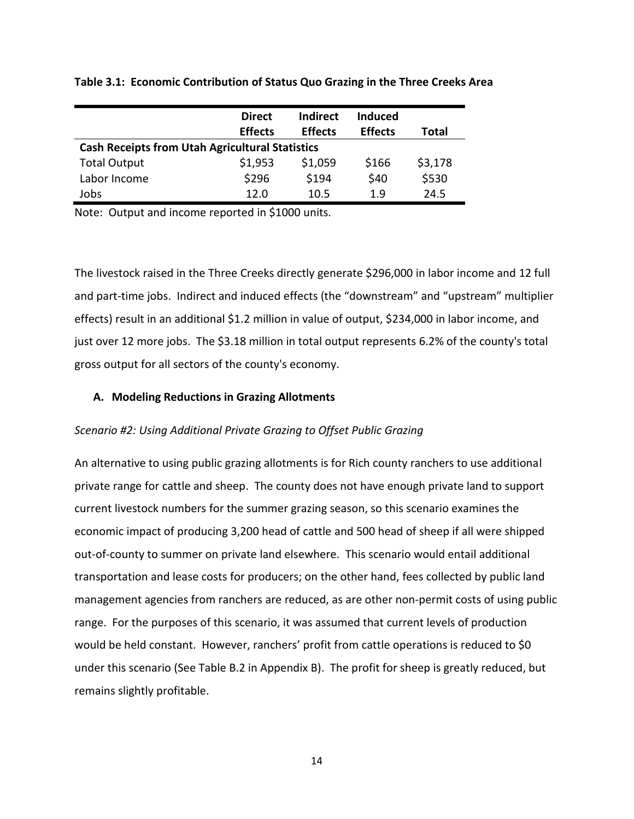|                                                        | <b>Direct</b><br><b>Effects</b> | <b>Indirect</b><br><b>Effects</b> | <b>Induced</b><br><b>Effects</b> | Total   |  |  |
|--------------------------------------------------------|---------------------------------|-----------------------------------|----------------------------------|---------|--|--|
| <b>Cash Receipts from Utah Agricultural Statistics</b> |                                 |                                   |                                  |         |  |  |
| <b>Total Output</b>                                    | \$1,953                         | \$1,059                           | \$166                            | \$3,178 |  |  |
| Labor Income                                           | \$296                           | \$194                             | \$40                             | \$530   |  |  |
| Jobs                                                   | 12.0                            | 10.5                              | 1.9                              | 24.5    |  |  |

**Table 3.1: Economic Contribution of Status Quo Grazing in the Three Creeks Area**

Note: Output and income reported in \$1000 units.

The livestock raised in the Three Creeks directly generate \$296,000 in labor income and 12 full and part-time jobs. Indirect and induced effects (the "downstream" and "upstream" multiplier effects) result in an additional \$1.2 million in value of output, \$234,000 in labor income, and just over 12 more jobs. The \$3.18 million in total output represents 6.2% of the county's total gross output for all sectors of the county's economy.

#### **A. Modeling Reductions in Grazing Allotments**

#### *Scenario #2: Using Additional Private Grazing to Offset Public Grazing*

An alternative to using public grazing allotments is for Rich county ranchers to use additional private range for cattle and sheep. The county does not have enough private land to support current livestock numbers for the summer grazing season, so this scenario examines the economic impact of producing 3,200 head of cattle and 500 head of sheep if all were shipped out-of-county to summer on private land elsewhere. This scenario would entail additional transportation and lease costs for producers; on the other hand, fees collected by public land management agencies from ranchers are reduced, as are other non-permit costs of using public range. For the purposes of this scenario, it was assumed that current levels of production would be held constant. However, ranchers' profit from cattle operations is reduced to \$0 under this scenario (See Table B.2 in Appendix B). The profit for sheep is greatly reduced, but remains slightly profitable.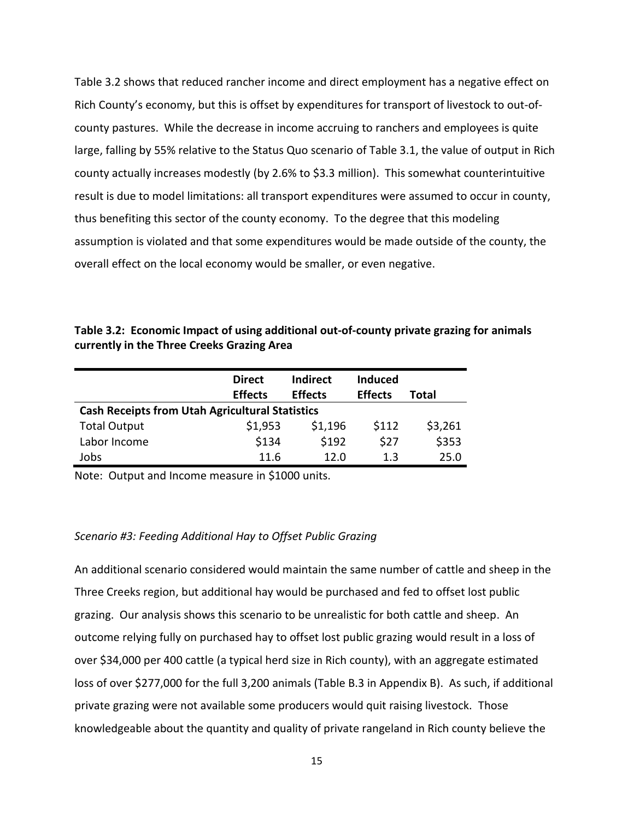Table 3.2 shows that reduced rancher income and direct employment has a negative effect on Rich County's economy, but this is offset by expenditures for transport of livestock to out-ofcounty pastures. While the decrease in income accruing to ranchers and employees is quite large, falling by 55% relative to the Status Quo scenario of Table 3.1, the value of output in Rich county actually increases modestly (by 2.6% to \$3.3 million). This somewhat counterintuitive result is due to model limitations: all transport expenditures were assumed to occur in county, thus benefiting this sector of the county economy. To the degree that this modeling assumption is violated and that some expenditures would be made outside of the county, the overall effect on the local economy would be smaller, or even negative.

| Table 3.2: Economic Impact of using additional out-of-county private grazing for animals |
|------------------------------------------------------------------------------------------|
| currently in the Three Creeks Grazing Area                                               |
|                                                                                          |

|                                                        | <b>Direct</b><br><b>Effects</b> | <b>Indirect</b><br><b>Effects</b> | <b>Induced</b><br><b>Effects</b> | Total   |  |  |
|--------------------------------------------------------|---------------------------------|-----------------------------------|----------------------------------|---------|--|--|
| <b>Cash Receipts from Utah Agricultural Statistics</b> |                                 |                                   |                                  |         |  |  |
| <b>Total Output</b>                                    | \$1,953                         | \$1,196                           | \$112                            | \$3,261 |  |  |
| Labor Income                                           | \$134                           | \$192                             | \$27                             | \$353   |  |  |
| Jobs                                                   | 11.6                            | 12.0                              | 1.3                              | 25.0    |  |  |

Note: Output and Income measure in \$1000 units.

#### *Scenario #3: Feeding Additional Hay to Offset Public Grazing*

An additional scenario considered would maintain the same number of cattle and sheep in the Three Creeks region, but additional hay would be purchased and fed to offset lost public grazing. Our analysis shows this scenario to be unrealistic for both cattle and sheep. An outcome relying fully on purchased hay to offset lost public grazing would result in a loss of over \$34,000 per 400 cattle (a typical herd size in Rich county), with an aggregate estimated loss of over \$277,000 for the full 3,200 animals (Table B.3 in Appendix B). As such, if additional private grazing were not available some producers would quit raising livestock. Those knowledgeable about the quantity and quality of private rangeland in Rich county believe the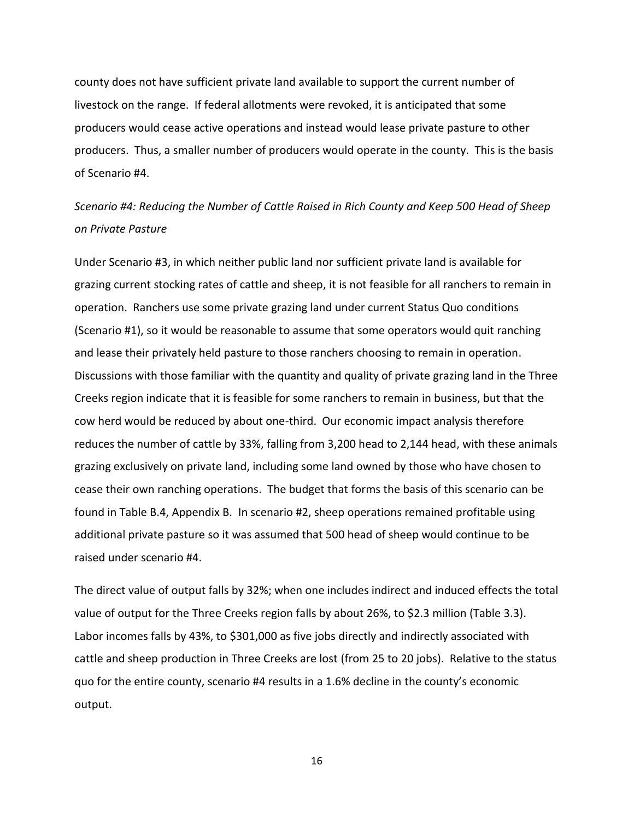county does not have sufficient private land available to support the current number of livestock on the range. If federal allotments were revoked, it is anticipated that some producers would cease active operations and instead would lease private pasture to other producers. Thus, a smaller number of producers would operate in the county. This is the basis of Scenario #4.

### *Scenario #4: Reducing the Number of Cattle Raised in Rich County and Keep 500 Head of Sheep on Private Pasture*

Under Scenario #3, in which neither public land nor sufficient private land is available for grazing current stocking rates of cattle and sheep, it is not feasible for all ranchers to remain in operation. Ranchers use some private grazing land under current Status Quo conditions (Scenario #1), so it would be reasonable to assume that some operators would quit ranching and lease their privately held pasture to those ranchers choosing to remain in operation. Discussions with those familiar with the quantity and quality of private grazing land in the Three Creeks region indicate that it is feasible for some ranchers to remain in business, but that the cow herd would be reduced by about one-third. Our economic impact analysis therefore reduces the number of cattle by 33%, falling from 3,200 head to 2,144 head, with these animals grazing exclusively on private land, including some land owned by those who have chosen to cease their own ranching operations. The budget that forms the basis of this scenario can be found in Table B.4, Appendix B. In scenario #2, sheep operations remained profitable using additional private pasture so it was assumed that 500 head of sheep would continue to be raised under scenario #4.

The direct value of output falls by 32%; when one includes indirect and induced effects the total value of output for the Three Creeks region falls by about 26%, to \$2.3 million (Table 3.3). Labor incomes falls by 43%, to \$301,000 as five jobs directly and indirectly associated with cattle and sheep production in Three Creeks are lost (from 25 to 20 jobs). Relative to the status quo for the entire county, scenario #4 results in a 1.6% decline in the county's economic output.

16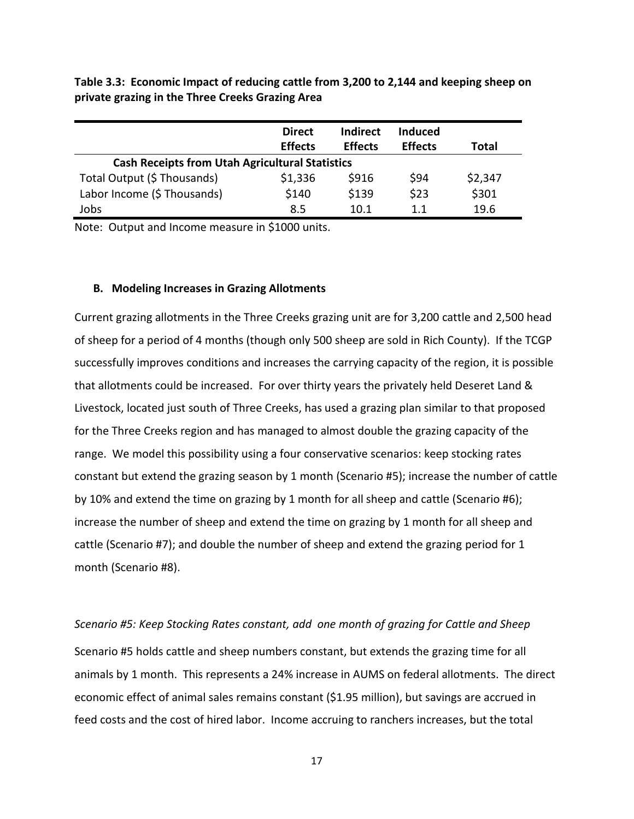**Table 3.3: Economic Impact of reducing cattle from 3,200 to 2,144 and keeping sheep on private grazing in the Three Creeks Grazing Area**

|                                                        | <b>Direct</b>  | <b>Indirect</b> | Induced        |         |
|--------------------------------------------------------|----------------|-----------------|----------------|---------|
|                                                        | <b>Effects</b> | <b>Effects</b>  | <b>Effects</b> | Total   |
| <b>Cash Receipts from Utah Agricultural Statistics</b> |                |                 |                |         |
| Total Output (\$ Thousands)                            | \$1,336        | \$916           | \$94           | \$2,347 |
| Labor Income (\$ Thousands)                            | \$140          | \$139           | \$23           | \$301   |
| Jobs                                                   | 8.5            | 10.1            | 11             | 19.6    |

Note: Output and Income measure in \$1000 units.

#### **B. Modeling Increases in Grazing Allotments**

Current grazing allotments in the Three Creeks grazing unit are for 3,200 cattle and 2,500 head of sheep for a period of 4 months (though only 500 sheep are sold in Rich County). If the TCGP successfully improves conditions and increases the carrying capacity of the region, it is possible that allotments could be increased. For over thirty years the privately held Deseret Land & Livestock, located just south of Three Creeks, has used a grazing plan similar to that proposed for the Three Creeks region and has managed to almost double the grazing capacity of the range. We model this possibility using a four conservative scenarios: keep stocking rates constant but extend the grazing season by 1 month (Scenario #5); increase the number of cattle by 10% and extend the time on grazing by 1 month for all sheep and cattle (Scenario #6); increase the number of sheep and extend the time on grazing by 1 month for all sheep and cattle (Scenario #7); and double the number of sheep and extend the grazing period for 1 month (Scenario #8).

*Scenario #5: Keep Stocking Rates constant, add one month of grazing for Cattle and Sheep* Scenario #5 holds cattle and sheep numbers constant, but extends the grazing time for all animals by 1 month. This represents a 24% increase in AUMS on federal allotments. The direct economic effect of animal sales remains constant (\$1.95 million), but savings are accrued in feed costs and the cost of hired labor. Income accruing to ranchers increases, but the total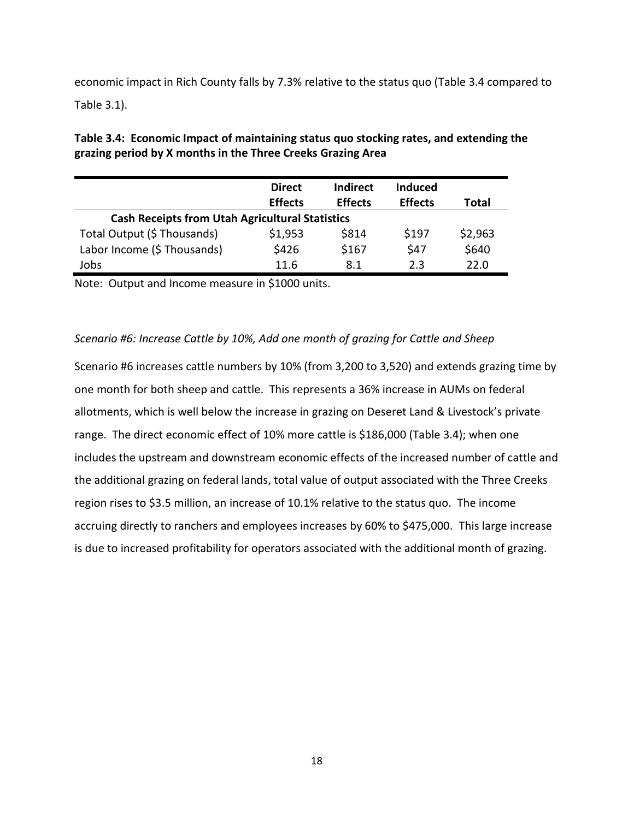economic impact in Rich County falls by 7.3% relative to the status quo (Table 3.4 compared to Table 3.1).

|                                                        | <b>Direct</b><br><b>Effects</b> | <b>Indirect</b><br><b>Effects</b> | <b>Induced</b><br><b>Effects</b> | Total   |  |  |
|--------------------------------------------------------|---------------------------------|-----------------------------------|----------------------------------|---------|--|--|
| <b>Cash Receipts from Utah Agricultural Statistics</b> |                                 |                                   |                                  |         |  |  |
| Total Output (\$ Thousands)                            | \$1,953                         | \$814                             | \$197                            | \$2,963 |  |  |
| Labor Income (\$ Thousands)                            | \$426                           | \$167                             | \$47                             | \$640   |  |  |
| Jobs                                                   | 11.6                            | 8.1                               | 2.3                              | 22.0    |  |  |

**Table 3.4: Economic Impact of maintaining status quo stocking rates, and extending the grazing period by X months in the Three Creeks Grazing Area**

Note: Output and Income measure in \$1000 units.

#### *Scenario #6: Increase Cattle by 10%, Add one month of grazing for Cattle and Sheep*

Scenario #6 increases cattle numbers by 10% (from 3,200 to 3,520) and extends grazing time by one month for both sheep and cattle. This represents a 36% increase in AUMs on federal allotments, which is well below the increase in grazing on Deseret Land & Livestock's private range. The direct economic effect of 10% more cattle is \$186,000 (Table 3.4); when one includes the upstream and downstream economic effects of the increased number of cattle and the additional grazing on federal lands, total value of output associated with the Three Creeks region rises to \$3.5 million, an increase of 10.1% relative to the status quo. The income accruing directly to ranchers and employees increases by 60% to \$475,000. This large increase is due to increased profitability for operators associated with the additional month of grazing.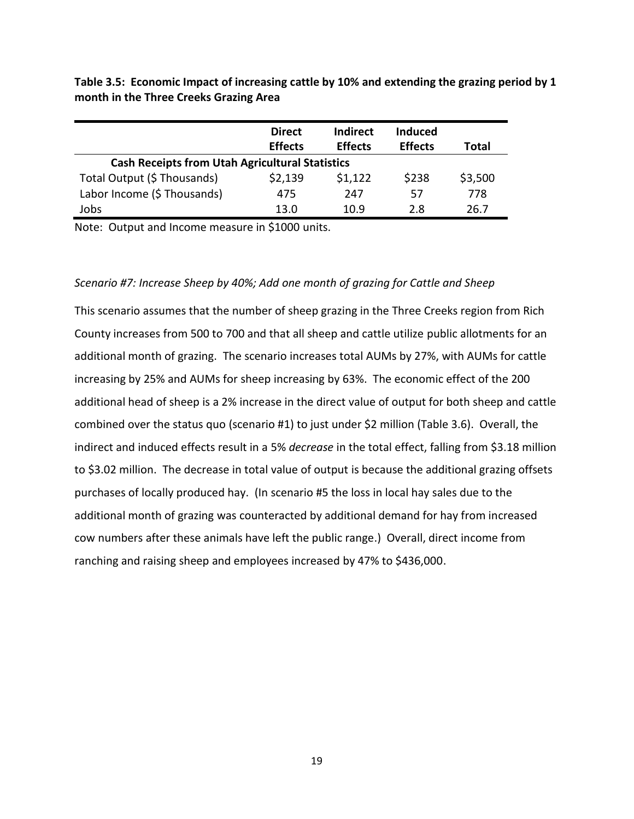**Table 3.5: Economic Impact of increasing cattle by 10% and extending the grazing period by 1 month in the Three Creeks Grazing Area**

|                                                        | <b>Direct</b>  | <b>Indirect</b> | <b>Induced</b> |         |  |
|--------------------------------------------------------|----------------|-----------------|----------------|---------|--|
|                                                        | <b>Effects</b> | <b>Effects</b>  | <b>Effects</b> | Total   |  |
| <b>Cash Receipts from Utah Agricultural Statistics</b> |                |                 |                |         |  |
| Total Output (\$ Thousands)                            | \$2,139        | \$1,122         | \$238          | \$3,500 |  |
| Labor Income (\$ Thousands)                            | 475            | 247             | 57             | 778     |  |
| Jobs                                                   | 13.0           | 10.9            | 2.8            | 26.7    |  |

Note: Output and Income measure in \$1000 units.

#### *Scenario #7: Increase Sheep by 40%; Add one month of grazing for Cattle and Sheep*

This scenario assumes that the number of sheep grazing in the Three Creeks region from Rich County increases from 500 to 700 and that all sheep and cattle utilize public allotments for an additional month of grazing. The scenario increases total AUMs by 27%, with AUMs for cattle increasing by 25% and AUMs for sheep increasing by 63%. The economic effect of the 200 additional head of sheep is a 2% increase in the direct value of output for both sheep and cattle combined over the status quo (scenario #1) to just under \$2 million (Table 3.6). Overall, the indirect and induced effects result in a 5% *decrease* in the total effect, falling from \$3.18 million to \$3.02 million. The decrease in total value of output is because the additional grazing offsets purchases of locally produced hay. (In scenario #5 the loss in local hay sales due to the additional month of grazing was counteracted by additional demand for hay from increased cow numbers after these animals have left the public range.) Overall, direct income from ranching and raising sheep and employees increased by 47% to \$436,000.

19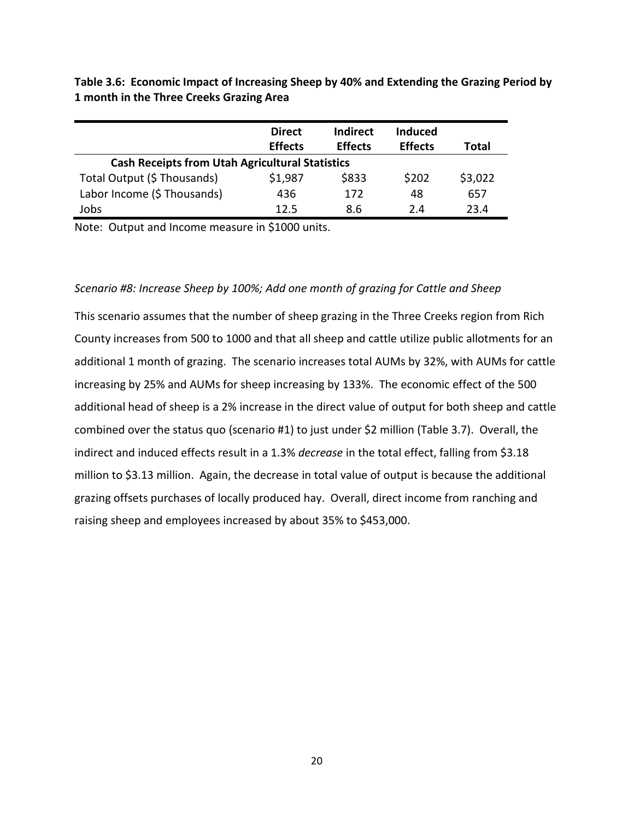**Table 3.6: Economic Impact of Increasing Sheep by 40% and Extending the Grazing Period by 1 month in the Three Creeks Grazing Area**

|                                                        | <b>Direct</b><br><b>Effects</b> | <b>Indirect</b><br><b>Effects</b> | <b>Induced</b><br><b>Effects</b> | Total   |  |  |
|--------------------------------------------------------|---------------------------------|-----------------------------------|----------------------------------|---------|--|--|
| <b>Cash Receipts from Utah Agricultural Statistics</b> |                                 |                                   |                                  |         |  |  |
| Total Output (\$ Thousands)                            | \$1,987                         | \$833                             | \$202                            | \$3,022 |  |  |
| Labor Income (\$ Thousands)                            | 436                             | 172                               | 48                               | 657     |  |  |
| Jobs                                                   | 12.5                            | 8.6                               | 2.4                              | 23.4    |  |  |

Note: Output and Income measure in \$1000 units.

#### *Scenario #8: Increase Sheep by 100%; Add one month of grazing for Cattle and Sheep*

This scenario assumes that the number of sheep grazing in the Three Creeks region from Rich County increases from 500 to 1000 and that all sheep and cattle utilize public allotments for an additional 1 month of grazing. The scenario increases total AUMs by 32%, with AUMs for cattle increasing by 25% and AUMs for sheep increasing by 133%. The economic effect of the 500 additional head of sheep is a 2% increase in the direct value of output for both sheep and cattle combined over the status quo (scenario #1) to just under \$2 million (Table 3.7). Overall, the indirect and induced effects result in a 1.3% *decrease* in the total effect, falling from \$3.18 million to \$3.13 million. Again, the decrease in total value of output is because the additional grazing offsets purchases of locally produced hay. Overall, direct income from ranching and raising sheep and employees increased by about 35% to \$453,000.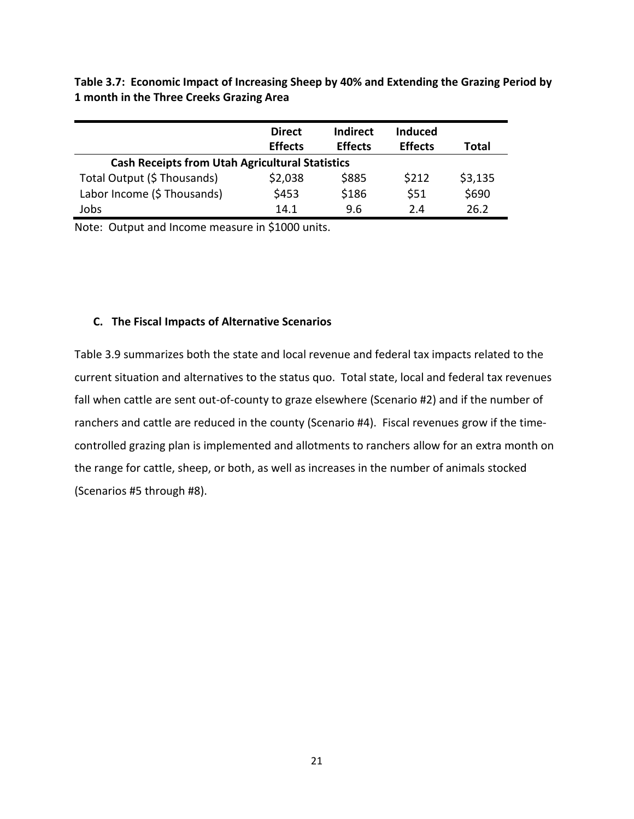**Table 3.7: Economic Impact of Increasing Sheep by 40% and Extending the Grazing Period by 1 month in the Three Creeks Grazing Area**

|                                                        | <b>Direct</b><br><b>Effects</b> | <b>Indirect</b><br><b>Effects</b> | <b>Induced</b><br><b>Effects</b> | Total   |
|--------------------------------------------------------|---------------------------------|-----------------------------------|----------------------------------|---------|
| <b>Cash Receipts from Utah Agricultural Statistics</b> |                                 |                                   |                                  |         |
| Total Output (\$ Thousands)                            | \$2,038                         | \$885                             | \$212                            | \$3,135 |
| Labor Income (\$ Thousands)                            | \$453                           | \$186                             | \$51                             | \$690   |
| Jobs                                                   | 14.1                            | 9.6                               | 2.4                              | 26.2    |

Note: Output and Income measure in \$1000 units.

#### **C. The Fiscal Impacts of Alternative Scenarios**

Table 3.9 summarizes both the state and local revenue and federal tax impacts related to the current situation and alternatives to the status quo. Total state, local and federal tax revenues fall when cattle are sent out-of-county to graze elsewhere (Scenario #2) and if the number of ranchers and cattle are reduced in the county (Scenario #4). Fiscal revenues grow if the timecontrolled grazing plan is implemented and allotments to ranchers allow for an extra month on the range for cattle, sheep, or both, as well as increases in the number of animals stocked (Scenarios #5 through #8).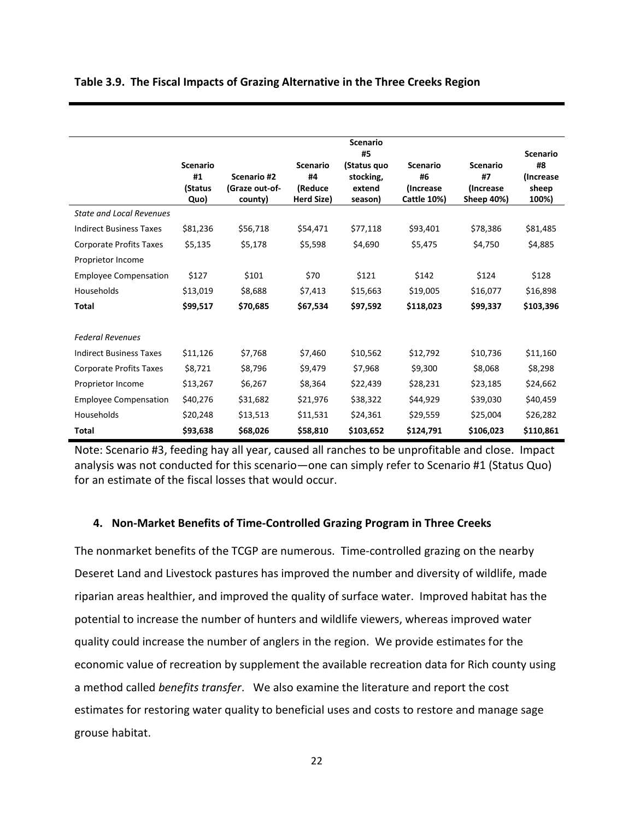|                                 |                                          |                                          |                                                | <b>Scenario</b><br>#5                         |                                                           |                                                          | <b>Scenario</b>                    |
|---------------------------------|------------------------------------------|------------------------------------------|------------------------------------------------|-----------------------------------------------|-----------------------------------------------------------|----------------------------------------------------------|------------------------------------|
|                                 | <b>Scenario</b><br>#1<br>(Status<br>Quo) | Scenario #2<br>(Graze out-of-<br>county) | <b>Scenario</b><br>#4<br>(Reduce<br>Herd Size) | (Status quo<br>stocking,<br>extend<br>season) | <b>Scenario</b><br>#6<br>(Increase)<br><b>Cattle 10%)</b> | <b>Scenario</b><br>#7<br><i>(Increase)</i><br>Sheep 40%) | #8<br>(Increase)<br>sheep<br>100%) |
| <b>State and Local Revenues</b> |                                          |                                          |                                                |                                               |                                                           |                                                          |                                    |
| <b>Indirect Business Taxes</b>  | \$81,236                                 | \$56,718                                 | \$54,471                                       | \$77,118                                      | \$93,401                                                  | \$78,386                                                 | \$81,485                           |
| <b>Corporate Profits Taxes</b>  | \$5,135                                  | \$5,178                                  | \$5,598                                        | \$4,690                                       | \$5,475                                                   | \$4,750                                                  | \$4,885                            |
| Proprietor Income               |                                          |                                          |                                                |                                               |                                                           |                                                          |                                    |
| <b>Employee Compensation</b>    | \$127                                    | \$101                                    | \$70                                           | \$121                                         | \$142                                                     | \$124                                                    | \$128                              |
| Households                      | \$13,019                                 | \$8,688                                  | \$7,413                                        | \$15,663                                      | \$19,005                                                  | \$16,077                                                 | \$16,898                           |
| <b>Total</b>                    | \$99,517                                 | \$70,685                                 | \$67,534                                       | \$97,592                                      | \$118,023                                                 | \$99,337                                                 | \$103,396                          |
|                                 |                                          |                                          |                                                |                                               |                                                           |                                                          |                                    |
| <b>Federal Revenues</b>         |                                          |                                          |                                                |                                               |                                                           |                                                          |                                    |
| <b>Indirect Business Taxes</b>  | \$11,126                                 | \$7,768                                  | \$7,460                                        | \$10,562                                      | \$12,792                                                  | \$10,736                                                 | \$11,160                           |
| Corporate Profits Taxes         | \$8,721                                  | \$8,796                                  | \$9,479                                        | \$7,968                                       | \$9,300                                                   | \$8,068                                                  | \$8,298                            |
| Proprietor Income               | \$13,267                                 | \$6,267                                  | \$8,364                                        | \$22,439                                      | \$28,231                                                  | \$23,185                                                 | \$24,662                           |
| <b>Employee Compensation</b>    | \$40,276                                 | \$31,682                                 | \$21,976                                       | \$38,322                                      | \$44,929                                                  | \$39,030                                                 | \$40,459                           |
| Households                      | \$20,248                                 | \$13,513                                 | \$11,531                                       | \$24,361                                      | \$29,559                                                  | \$25,004                                                 | \$26,282                           |
| <b>Total</b>                    | \$93,638                                 | \$68,026                                 | \$58,810                                       | \$103,652                                     | \$124,791                                                 | \$106,023                                                | \$110,861                          |

#### **Table 3.9. The Fiscal Impacts of Grazing Alternative in the Three Creeks Region**

Note: Scenario #3, feeding hay all year, caused all ranches to be unprofitable and close. Impact analysis was not conducted for this scenario—one can simply refer to Scenario #1 (Status Quo) for an estimate of the fiscal losses that would occur.

#### **4. Non-Market Benefits of Time-Controlled Grazing Program in Three Creeks**

The nonmarket benefits of the TCGP are numerous. Time-controlled grazing on the nearby Deseret Land and Livestock pastures has improved the number and diversity of wildlife, made riparian areas healthier, and improved the quality of surface water. Improved habitat has the potential to increase the number of hunters and wildlife viewers, whereas improved water quality could increase the number of anglers in the region. We provide estimates for the economic value of recreation by supplement the available recreation data for Rich county using a method called *benefits transfer*. We also examine the literature and report the cost estimates for restoring water quality to beneficial uses and costs to restore and manage sage grouse habitat.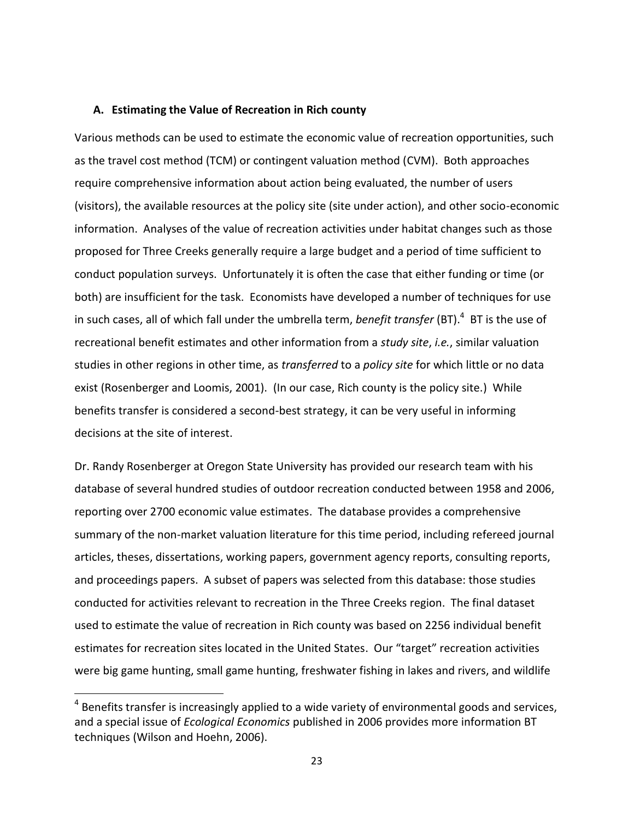#### **A. Estimating the Value of Recreation in Rich county**

Various methods can be used to estimate the economic value of recreation opportunities, such as the travel cost method (TCM) or contingent valuation method (CVM). Both approaches require comprehensive information about action being evaluated, the number of users (visitors), the available resources at the policy site (site under action), and other socio-economic information. Analyses of the value of recreation activities under habitat changes such as those proposed for Three Creeks generally require a large budget and a period of time sufficient to conduct population surveys. Unfortunately it is often the case that either funding or time (or both) are insufficient for the task. Economists have developed a number of techniques for use in such cases, all of which fall under the umbrella term, *benefit transfer* (BT). 4 BT is the use of recreational benefit estimates and other information from a *study site*, *i.e.*, similar valuation studies in other regions in other time, as *transferred* to a *policy site* for which little or no data exist (Rosenberger and Loomis, 2001). (In our case, Rich county is the policy site.) While benefits transfer is considered a second-best strategy, it can be very useful in informing decisions at the site of interest.

Dr. Randy Rosenberger at Oregon State University has provided our research team with his database of several hundred studies of outdoor recreation conducted between 1958 and 2006, reporting over 2700 economic value estimates. The database provides a comprehensive summary of the non-market valuation literature for this time period, including refereed journal articles, theses, dissertations, working papers, government agency reports, consulting reports, and proceedings papers. A subset of papers was selected from this database: those studies conducted for activities relevant to recreation in the Three Creeks region. The final dataset used to estimate the value of recreation in Rich county was based on 2256 individual benefit estimates for recreation sites located in the United States. Our "target" recreation activities were big game hunting, small game hunting, freshwater fishing in lakes and rivers, and wildlife

 $\overline{a}$ 

 $^4$  Benefits transfer is increasingly applied to a wide variety of environmental goods and services, and a special issue of *Ecological Economics* published in 2006 provides more information BT techniques (Wilson and Hoehn, 2006).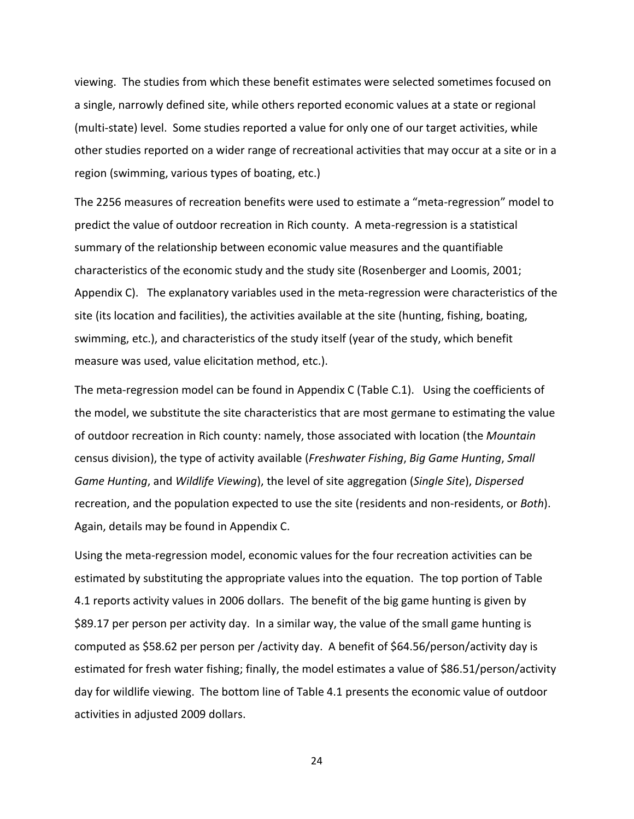viewing. The studies from which these benefit estimates were selected sometimes focused on a single, narrowly defined site, while others reported economic values at a state or regional (multi-state) level. Some studies reported a value for only one of our target activities, while other studies reported on a wider range of recreational activities that may occur at a site or in a region (swimming, various types of boating, etc.)

The 2256 measures of recreation benefits were used to estimate a "meta-regression" model to predict the value of outdoor recreation in Rich county. A meta-regression is a statistical summary of the relationship between economic value measures and the quantifiable characteristics of the economic study and the study site (Rosenberger and Loomis, 2001; Appendix C). The explanatory variables used in the meta-regression were characteristics of the site (its location and facilities), the activities available at the site (hunting, fishing, boating, swimming, etc.), and characteristics of the study itself (year of the study, which benefit measure was used, value elicitation method, etc.).

The meta-regression model can be found in Appendix C (Table C.1). Using the coefficients of the model, we substitute the site characteristics that are most germane to estimating the value of outdoor recreation in Rich county: namely, those associated with location (the *Mountain* census division), the type of activity available (*Freshwater Fishing*, *Big Game Hunting*, *Small Game Hunting*, and *Wildlife Viewing*), the level of site aggregation (*Single Site*), *Dispersed* recreation, and the population expected to use the site (residents and non-residents, or *Both*). Again, details may be found in Appendix C.

Using the meta-regression model, economic values for the four recreation activities can be estimated by substituting the appropriate values into the equation. The top portion of Table 4.1 reports activity values in 2006 dollars. The benefit of the big game hunting is given by \$89.17 per person per activity day. In a similar way, the value of the small game hunting is computed as \$58.62 per person per /activity day. A benefit of \$64.56/person/activity day is estimated for fresh water fishing; finally, the model estimates a value of \$86.51/person/activity day for wildlife viewing. The bottom line of Table 4.1 presents the economic value of outdoor activities in adjusted 2009 dollars.

24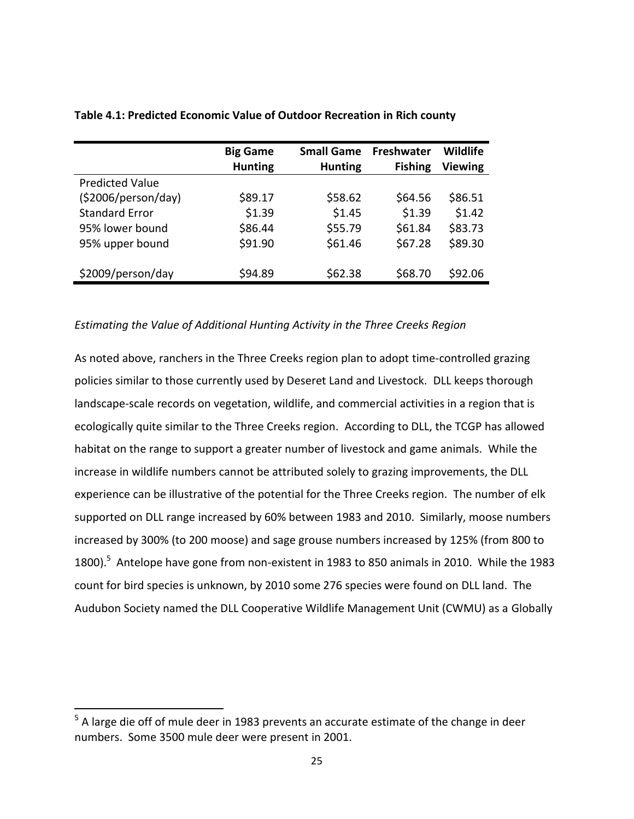|                        | <b>Big Game</b><br><b>Hunting</b> | <b>Small Game</b><br><b>Hunting</b> | <b>Freshwater</b><br><b>Fishing</b> | Wildlife<br>Viewing |
|------------------------|-----------------------------------|-------------------------------------|-------------------------------------|---------------------|
| <b>Predicted Value</b> |                                   |                                     |                                     |                     |
| (52006/person/day)     | \$89.17                           | \$58.62                             | \$64.56                             | \$86.51             |
| <b>Standard Error</b>  | \$1.39                            | \$1.45                              | \$1.39                              | \$1.42              |
| 95% lower bound        | \$86.44                           | \$55.79                             | \$61.84                             | \$83.73             |
| 95% upper bound        | \$91.90                           | \$61.46                             | \$67.28                             | \$89.30             |
| \$2009/person/day      | \$94.89                           | \$62.38                             | \$68.70                             | \$92.06             |

#### **Table 4.1: Predicted Economic Value of Outdoor Recreation in Rich county**

#### *Estimating the Value of Additional Hunting Activity in the Three Creeks Region*

As noted above, ranchers in the Three Creeks region plan to adopt time-controlled grazing policies similar to those currently used by Deseret Land and Livestock. DLL keeps thorough landscape-scale records on vegetation, wildlife, and commercial activities in a region that is ecologically quite similar to the Three Creeks region. According to DLL, the TCGP has allowed habitat on the range to support a greater number of livestock and game animals. While the increase in wildlife numbers cannot be attributed solely to grazing improvements, the DLL experience can be illustrative of the potential for the Three Creeks region. The number of elk supported on DLL range increased by 60% between 1983 and 2010. Similarly, moose numbers increased by 300% (to 200 moose) and sage grouse numbers increased by 125% (from 800 to 1800).<sup>5</sup> Antelope have gone from non-existent in 1983 to 850 animals in 2010. While the 1983 count for bird species is unknown, by 2010 some 276 species were found on DLL land. The Audubon Society named the DLL Cooperative Wildlife Management Unit (CWMU) as a Globally

 $\overline{a}$ 

<sup>&</sup>lt;sup>5</sup> A large die off of mule deer in 1983 prevents an accurate estimate of the change in deer numbers. Some 3500 mule deer were present in 2001.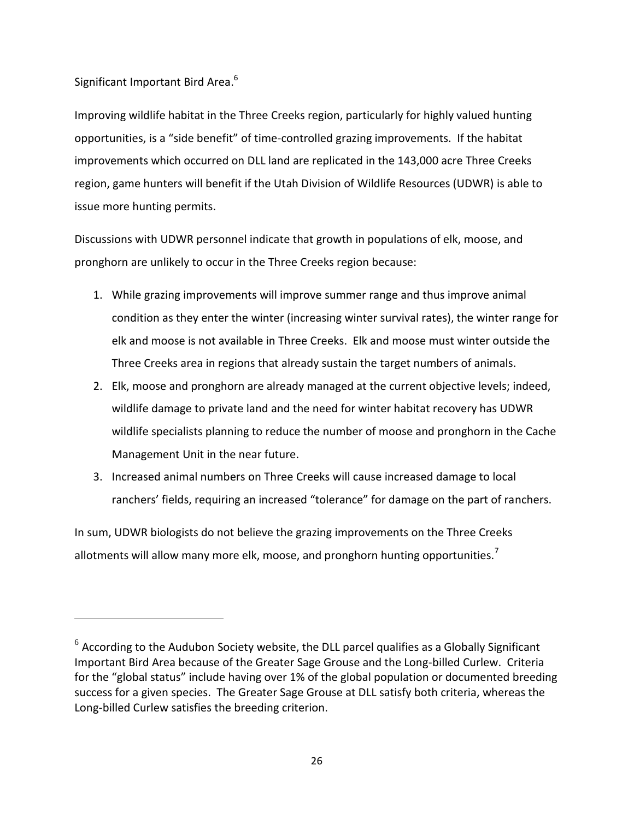### Significant Important Bird Area.<sup>6</sup>

 $\overline{a}$ 

Improving wildlife habitat in the Three Creeks region, particularly for highly valued hunting opportunities, is a "side benefit" of time-controlled grazing improvements. If the habitat improvements which occurred on DLL land are replicated in the 143,000 acre Three Creeks region, game hunters will benefit if the Utah Division of Wildlife Resources (UDWR) is able to issue more hunting permits.

Discussions with UDWR personnel indicate that growth in populations of elk, moose, and pronghorn are unlikely to occur in the Three Creeks region because:

- 1. While grazing improvements will improve summer range and thus improve animal condition as they enter the winter (increasing winter survival rates), the winter range for elk and moose is not available in Three Creeks. Elk and moose must winter outside the Three Creeks area in regions that already sustain the target numbers of animals.
- 2. Elk, moose and pronghorn are already managed at the current objective levels; indeed, wildlife damage to private land and the need for winter habitat recovery has UDWR wildlife specialists planning to reduce the number of moose and pronghorn in the Cache Management Unit in the near future.
- 3. Increased animal numbers on Three Creeks will cause increased damage to local ranchers' fields, requiring an increased "tolerance" for damage on the part of ranchers.

In sum, UDWR biologists do not believe the grazing improvements on the Three Creeks allotments will allow many more elk, moose, and pronghorn hunting opportunities.<sup>7</sup>

 $^6$  According to the Audubon Society website, the DLL parcel qualifies as a Globally Significant Important Bird Area because of the Greater Sage Grouse and the Long-billed Curlew. Criteria for the "global status" include having over 1% of the global population or documented breeding success for a given species. The Greater Sage Grouse at DLL satisfy both criteria, whereas the Long-billed Curlew satisfies the breeding criterion.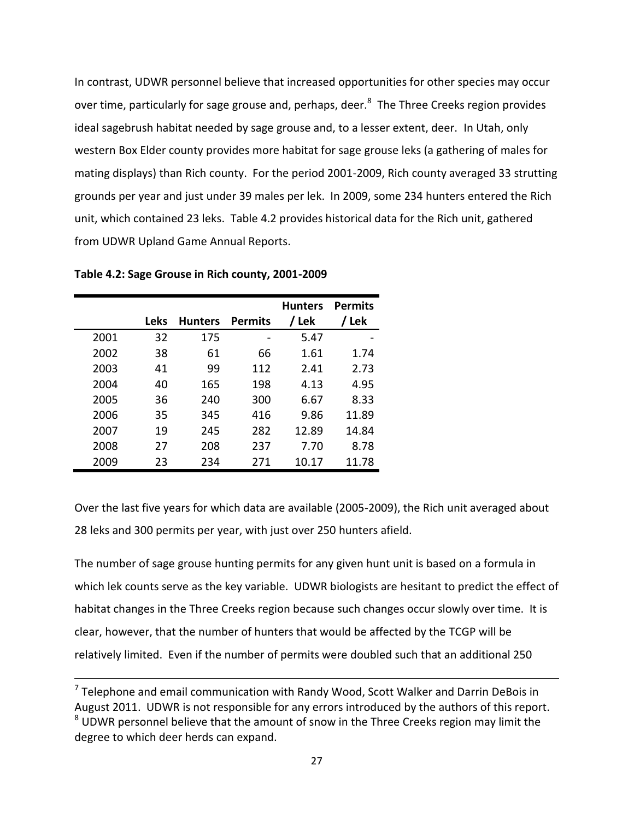In contrast, UDWR personnel believe that increased opportunities for other species may occur over time, particularly for sage grouse and, perhaps, deer.<sup>8</sup> The Three Creeks region provides ideal sagebrush habitat needed by sage grouse and, to a lesser extent, deer. In Utah, only western Box Elder county provides more habitat for sage grouse leks (a gathering of males for mating displays) than Rich county. For the period 2001-2009, Rich county averaged 33 strutting grounds per year and just under 39 males per lek. In 2009, some 234 hunters entered the Rich unit, which contained 23 leks. Table 4.2 provides historical data for the Rich unit, gathered from UDWR Upland Game Annual Reports.

**Table 4.2: Sage Grouse in Rich county, 2001-2009**

 $\overline{a}$ 

|      | <b>Leks</b> | <b>Hunters</b> | <b>Permits</b> | <b>Hunters</b><br>/ Lek | <b>Permits</b><br>/ Lek |
|------|-------------|----------------|----------------|-------------------------|-------------------------|
| 2001 | 32          | 175            |                | 5.47                    |                         |
| 2002 | 38          | 61             | 66             | 1.61                    | 1.74                    |
| 2003 | 41          | 99             | 112            | 2.41                    | 2.73                    |
| 2004 | 40          | 165            | 198            | 4.13                    | 4.95                    |
| 2005 | 36          | 240            | 300            | 6.67                    | 8.33                    |
| 2006 | 35          | 345            | 416            | 9.86                    | 11.89                   |
| 2007 | 19          | 245            | 282            | 12.89                   | 14.84                   |
| 2008 | 27          | 208            | 237            | 7.70                    | 8.78                    |
| 2009 | 23          | 234            | 271            | 10.17                   | 11.78                   |

Over the last five years for which data are available (2005-2009), the Rich unit averaged about 28 leks and 300 permits per year, with just over 250 hunters afield.

The number of sage grouse hunting permits for any given hunt unit is based on a formula in which lek counts serve as the key variable. UDWR biologists are hesitant to predict the effect of habitat changes in the Three Creeks region because such changes occur slowly over time. It is clear, however, that the number of hunters that would be affected by the TCGP will be relatively limited. Even if the number of permits were doubled such that an additional 250

 $<sup>7</sup>$  Telephone and email communication with Randy Wood, Scott Walker and Darrin DeBois in</sup> August 2011. UDWR is not responsible for any errors introduced by the authors of this report. <sup>8</sup> UDWR personnel believe that the amount of snow in the Three Creeks region may limit the degree to which deer herds can expand.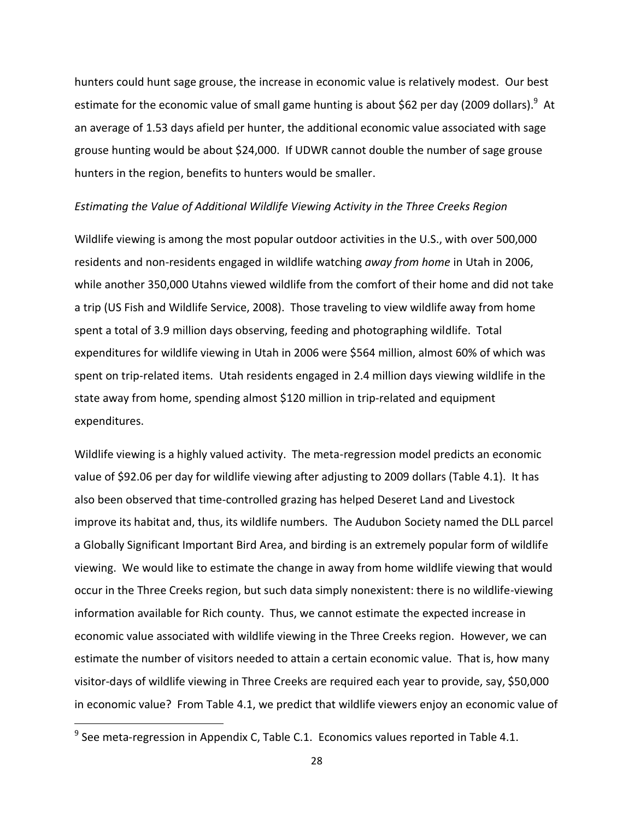hunters could hunt sage grouse, the increase in economic value is relatively modest. Our best estimate for the economic value of small game hunting is about \$62 per day (2009 dollars).<sup>9</sup> At an average of 1.53 days afield per hunter, the additional economic value associated with sage grouse hunting would be about \$24,000. If UDWR cannot double the number of sage grouse hunters in the region, benefits to hunters would be smaller.

#### *Estimating the Value of Additional Wildlife Viewing Activity in the Three Creeks Region*

Wildlife viewing is among the most popular outdoor activities in the U.S., with over 500,000 residents and non-residents engaged in wildlife watching *away from home* in Utah in 2006, while another 350,000 Utahns viewed wildlife from the comfort of their home and did not take a trip (US Fish and Wildlife Service, 2008). Those traveling to view wildlife away from home spent a total of 3.9 million days observing, feeding and photographing wildlife. Total expenditures for wildlife viewing in Utah in 2006 were \$564 million, almost 60% of which was spent on trip-related items. Utah residents engaged in 2.4 million days viewing wildlife in the state away from home, spending almost \$120 million in trip-related and equipment expenditures.

Wildlife viewing is a highly valued activity. The meta-regression model predicts an economic value of \$92.06 per day for wildlife viewing after adjusting to 2009 dollars (Table 4.1). It has also been observed that time-controlled grazing has helped Deseret Land and Livestock improve its habitat and, thus, its wildlife numbers. The Audubon Society named the DLL parcel a Globally Significant Important Bird Area, and birding is an extremely popular form of wildlife viewing. We would like to estimate the change in away from home wildlife viewing that would occur in the Three Creeks region, but such data simply nonexistent: there is no wildlife-viewing information available for Rich county. Thus, we cannot estimate the expected increase in economic value associated with wildlife viewing in the Three Creeks region. However, we can estimate the number of visitors needed to attain a certain economic value. That is, how many visitor-days of wildlife viewing in Three Creeks are required each year to provide, say, \$50,000 in economic value? From Table 4.1, we predict that wildlife viewers enjoy an economic value of

 $\overline{a}$ 

 $^9$  See meta-regression in Appendix C, Table C.1. Economics values reported in Table 4.1.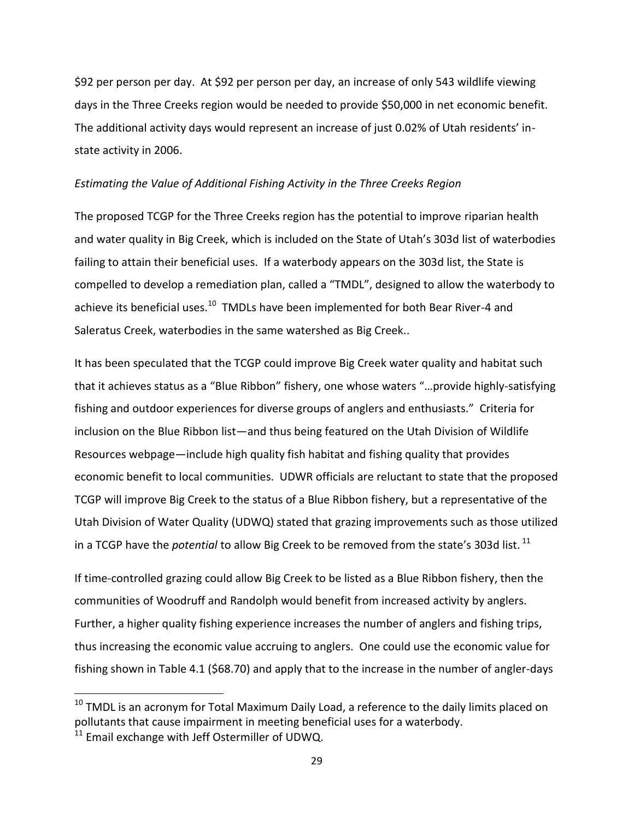\$92 per person per day. At \$92 per person per day, an increase of only 543 wildlife viewing days in the Three Creeks region would be needed to provide \$50,000 in net economic benefit. The additional activity days would represent an increase of just 0.02% of Utah residents' instate activity in 2006.

#### *Estimating the Value of Additional Fishing Activity in the Three Creeks Region*

The proposed TCGP for the Three Creeks region has the potential to improve riparian health and water quality in Big Creek, which is included on the State of Utah's 303d list of waterbodies failing to attain their beneficial uses. If a waterbody appears on the 303d list, the State is compelled to develop a remediation plan, called a "TMDL", designed to allow the waterbody to achieve its beneficial uses.<sup>10</sup> TMDLs have been implemented for both Bear River-4 and Saleratus Creek, waterbodies in the same watershed as Big Creek..

It has been speculated that the TCGP could improve Big Creek water quality and habitat such that it achieves status as a "Blue Ribbon" fishery, one whose waters "…provide highly-satisfying fishing and outdoor experiences for diverse groups of anglers and enthusiasts." Criteria for inclusion on the Blue Ribbon list—and thus being featured on the Utah Division of Wildlife Resources webpage—include high quality fish habitat and fishing quality that provides economic benefit to local communities. UDWR officials are reluctant to state that the proposed TCGP will improve Big Creek to the status of a Blue Ribbon fishery, but a representative of the Utah Division of Water Quality (UDWQ) stated that grazing improvements such as those utilized in a TCGP have the *potential* to allow Big Creek to be removed from the state's 303d list. <sup>11</sup>

If time-controlled grazing could allow Big Creek to be listed as a Blue Ribbon fishery, then the communities of Woodruff and Randolph would benefit from increased activity by anglers. Further, a higher quality fishing experience increases the number of anglers and fishing trips, thus increasing the economic value accruing to anglers. One could use the economic value for fishing shown in Table 4.1 (\$68.70) and apply that to the increase in the number of angler-days

 $\overline{a}$ 

 $10$  TMDL is an acronym for Total Maximum Daily Load, a reference to the daily limits placed on pollutants that cause impairment in meeting beneficial uses for a waterbody.

 $11$  Email exchange with Jeff Ostermiller of UDWQ.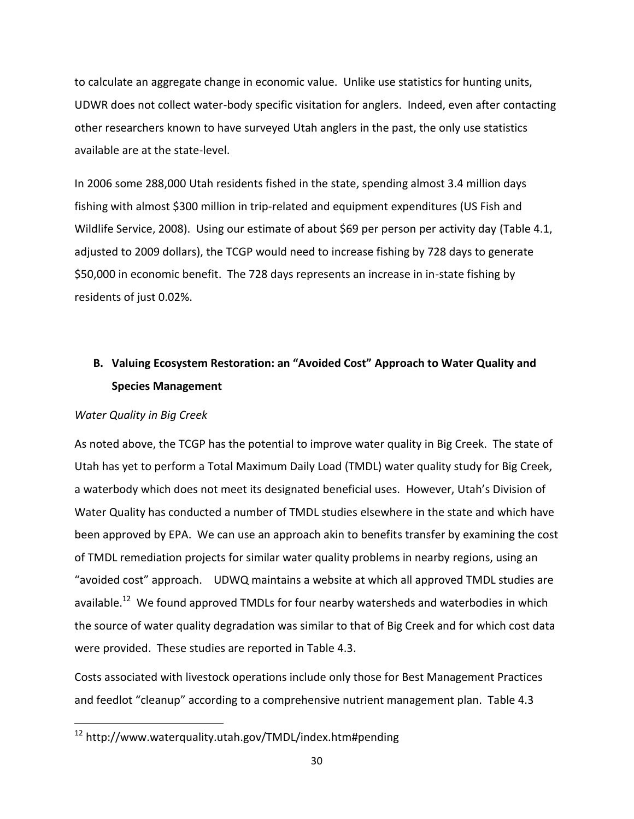to calculate an aggregate change in economic value. Unlike use statistics for hunting units, UDWR does not collect water-body specific visitation for anglers. Indeed, even after contacting other researchers known to have surveyed Utah anglers in the past, the only use statistics available are at the state-level.

In 2006 some 288,000 Utah residents fished in the state, spending almost 3.4 million days fishing with almost \$300 million in trip-related and equipment expenditures (US Fish and Wildlife Service, 2008). Using our estimate of about \$69 per person per activity day (Table 4.1, adjusted to 2009 dollars), the TCGP would need to increase fishing by 728 days to generate \$50,000 in economic benefit. The 728 days represents an increase in in-state fishing by residents of just 0.02%.

### **B. Valuing Ecosystem Restoration: an "Avoided Cost" Approach to Water Quality and Species Management**

#### *Water Quality in Big Creek*

 $\overline{a}$ 

As noted above, the TCGP has the potential to improve water quality in Big Creek. The state of Utah has yet to perform a Total Maximum Daily Load (TMDL) water quality study for Big Creek, a waterbody which does not meet its designated beneficial uses. However, Utah's Division of Water Quality has conducted a number of TMDL studies elsewhere in the state and which have been approved by EPA. We can use an approach akin to benefits transfer by examining the cost of TMDL remediation projects for similar water quality problems in nearby regions, using an "avoided cost" approach. UDWQ maintains a website at which all approved TMDL studies are available.<sup>12</sup> We found approved TMDLs for four nearby watersheds and waterbodies in which the source of water quality degradation was similar to that of Big Creek and for which cost data were provided. These studies are reported in Table 4.3.

Costs associated with livestock operations include only those for Best Management Practices and feedlot "cleanup" according to a comprehensive nutrient management plan. Table 4.3

<sup>&</sup>lt;sup>12</sup> http://www.waterquality.utah.gov/TMDL/index.htm#pending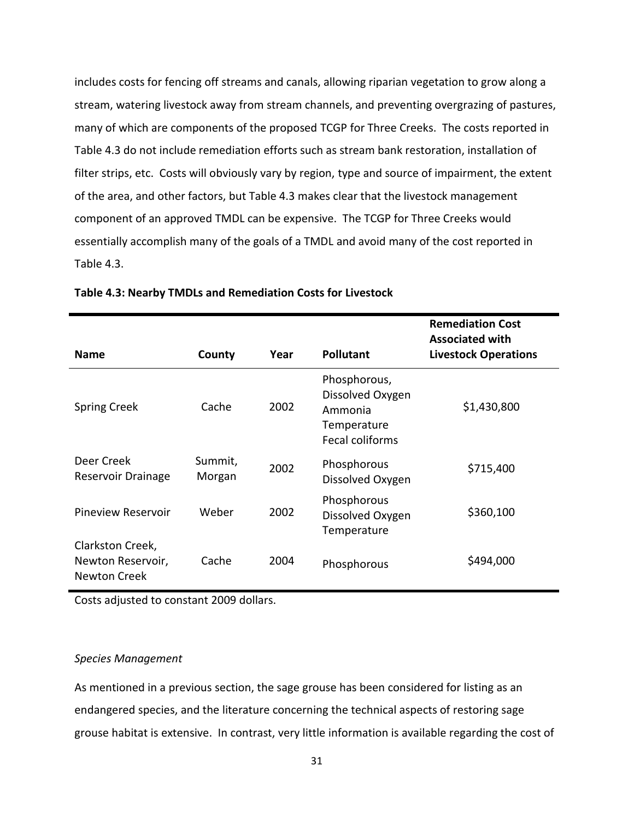includes costs for fencing off streams and canals, allowing riparian vegetation to grow along a stream, watering livestock away from stream channels, and preventing overgrazing of pastures, many of which are components of the proposed TCGP for Three Creeks. The costs reported in Table 4.3 do not include remediation efforts such as stream bank restoration, installation of filter strips, etc. Costs will obviously vary by region, type and source of impairment, the extent of the area, and other factors, but Table 4.3 makes clear that the livestock management component of an approved TMDL can be expensive. The TCGP for Three Creeks would essentially accomplish many of the goals of a TMDL and avoid many of the cost reported in Table 4.3.

| <b>Name</b>                                                  | County            | Year | <b>Pollutant</b>                                                              | <b>Remediation Cost</b><br><b>Associated with</b><br><b>Livestock Operations</b> |
|--------------------------------------------------------------|-------------------|------|-------------------------------------------------------------------------------|----------------------------------------------------------------------------------|
| <b>Spring Creek</b>                                          | Cache             | 2002 | Phosphorous,<br>Dissolved Oxygen<br>Ammonia<br>Temperature<br>Fecal coliforms | \$1,430,800                                                                      |
| Deer Creek<br>Reservoir Drainage                             | Summit,<br>Morgan | 2002 | Phosphorous<br>Dissolved Oxygen                                               | \$715,400                                                                        |
| <b>Pineview Reservoir</b>                                    | Weber             | 2002 | Phosphorous<br>Dissolved Oxygen<br>Temperature                                | \$360,100                                                                        |
| Clarkston Creek,<br>Newton Reservoir,<br><b>Newton Creek</b> | Cache             | 2004 | Phosphorous                                                                   | \$494,000                                                                        |

#### **Table 4.3: Nearby TMDLs and Remediation Costs for Livestock**

Costs adjusted to constant 2009 dollars.

#### *Species Management*

As mentioned in a previous section, the sage grouse has been considered for listing as an endangered species, and the literature concerning the technical aspects of restoring sage grouse habitat is extensive. In contrast, very little information is available regarding the cost of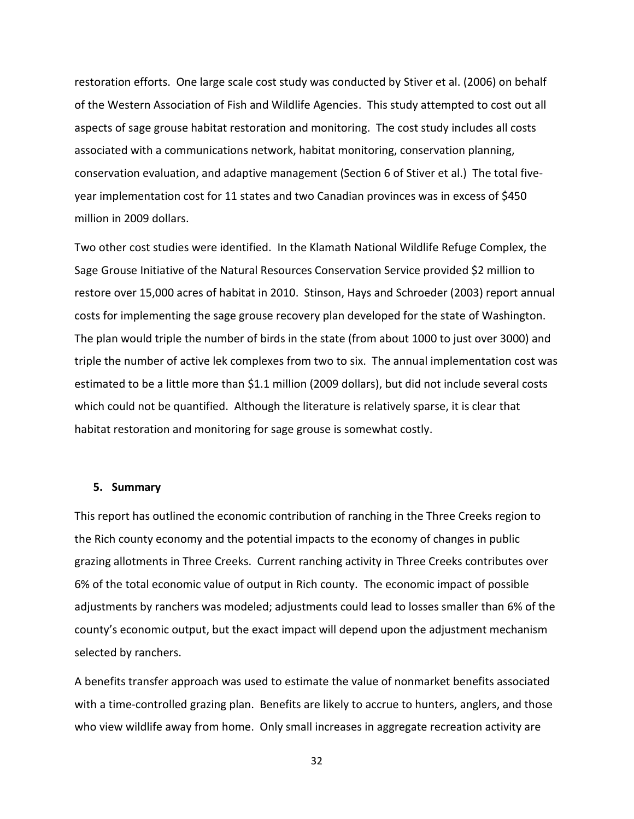restoration efforts. One large scale cost study was conducted by Stiver et al. (2006) on behalf of the Western Association of Fish and Wildlife Agencies. This study attempted to cost out all aspects of sage grouse habitat restoration and monitoring. The cost study includes all costs associated with a communications network, habitat monitoring, conservation planning, conservation evaluation, and adaptive management (Section 6 of Stiver et al.) The total fiveyear implementation cost for 11 states and two Canadian provinces was in excess of \$450 million in 2009 dollars.

Two other cost studies were identified. In the Klamath National Wildlife Refuge Complex, the Sage Grouse Initiative of the Natural Resources Conservation Service provided \$2 million to restore over 15,000 acres of habitat in 2010. Stinson, Hays and Schroeder (2003) report annual costs for implementing the sage grouse recovery plan developed for the state of Washington. The plan would triple the number of birds in the state (from about 1000 to just over 3000) and triple the number of active lek complexes from two to six. The annual implementation cost was estimated to be a little more than \$1.1 million (2009 dollars), but did not include several costs which could not be quantified. Although the literature is relatively sparse, it is clear that habitat restoration and monitoring for sage grouse is somewhat costly.

#### **5. Summary**

This report has outlined the economic contribution of ranching in the Three Creeks region to the Rich county economy and the potential impacts to the economy of changes in public grazing allotments in Three Creeks. Current ranching activity in Three Creeks contributes over 6% of the total economic value of output in Rich county. The economic impact of possible adjustments by ranchers was modeled; adjustments could lead to losses smaller than 6% of the county's economic output, but the exact impact will depend upon the adjustment mechanism selected by ranchers.

A benefits transfer approach was used to estimate the value of nonmarket benefits associated with a time-controlled grazing plan. Benefits are likely to accrue to hunters, anglers, and those who view wildlife away from home. Only small increases in aggregate recreation activity are

32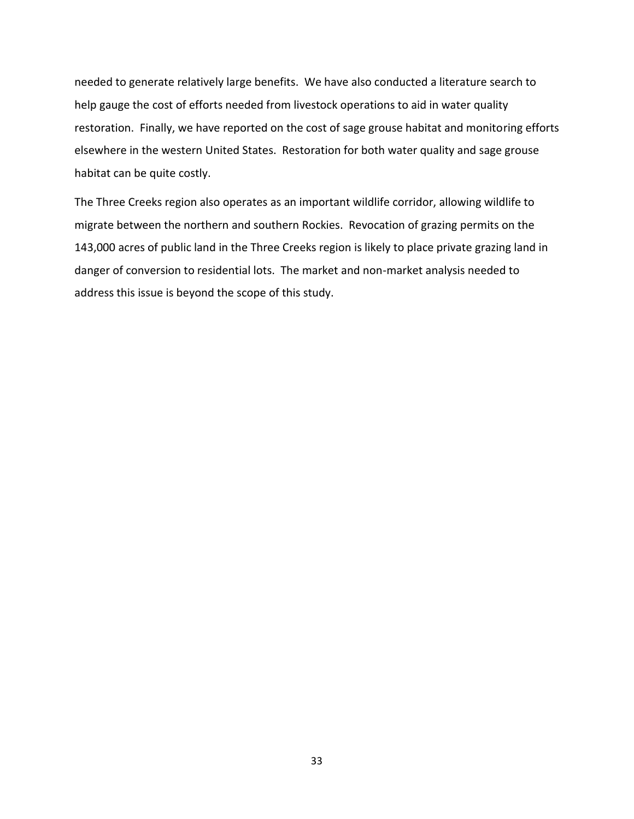needed to generate relatively large benefits. We have also conducted a literature search to help gauge the cost of efforts needed from livestock operations to aid in water quality restoration. Finally, we have reported on the cost of sage grouse habitat and monitoring efforts elsewhere in the western United States. Restoration for both water quality and sage grouse habitat can be quite costly.

The Three Creeks region also operates as an important wildlife corridor, allowing wildlife to migrate between the northern and southern Rockies. Revocation of grazing permits on the 143,000 acres of public land in the Three Creeks region is likely to place private grazing land in danger of conversion to residential lots. The market and non-market analysis needed to address this issue is beyond the scope of this study.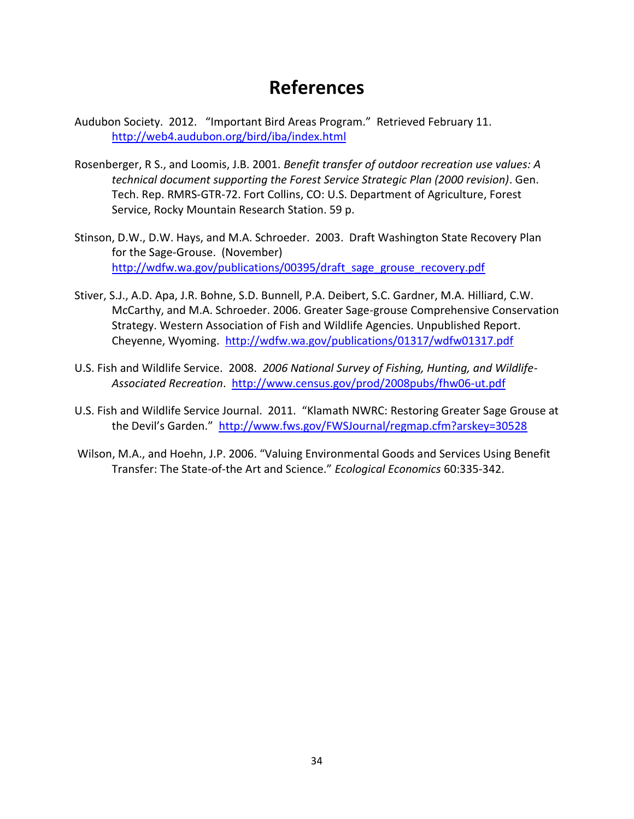## **References**

- Audubon Society. 2012. "Important Bird Areas Program." Retrieved February 11. <http://web4.audubon.org/bird/iba/index.html>
- Rosenberger, R S., and Loomis, J.B. 2001. *Benefit transfer of outdoor recreation use values: A technical document supporting the Forest Service Strategic Plan (2000 revision)*. Gen. Tech. Rep. RMRS-GTR-72. Fort Collins, CO: U.S. Department of Agriculture, Forest Service, Rocky Mountain Research Station. 59 p.
- Stinson, D.W., D.W. Hays, and M.A. Schroeder. 2003. Draft Washington State Recovery Plan for the Sage-Grouse. (November) [http://wdfw.wa.gov/publications/00395/draft\\_sage\\_grouse\\_recovery.pdf](http://wdfw.wa.gov/publications/00395/draft_sage_grouse_recovery.pdf)
- Stiver, S.J., A.D. Apa, J.R. Bohne, S.D. Bunnell, P.A. Deibert, S.C. Gardner, M.A. Hilliard, C.W. McCarthy, and M.A. Schroeder. 2006. Greater Sage-grouse Comprehensive Conservation Strategy. Western Association of Fish and Wildlife Agencies. Unpublished Report. Cheyenne, Wyoming. <http://wdfw.wa.gov/publications/01317/wdfw01317.pdf>
- U.S. Fish and Wildlife Service. 2008. *2006 National Survey of Fishing, Hunting, and Wildlife-Associated Recreation*. <http://www.census.gov/prod/2008pubs/fhw06-ut.pdf>
- U.S. Fish and Wildlife Service Journal. 2011. "Klamath NWRC: Restoring Greater Sage Grouse at the Devil's Garden." <http://www.fws.gov/FWSJournal/regmap.cfm?arskey=30528>
- Wilson, M.A., and Hoehn, J.P. 2006. "Valuing Environmental Goods and Services Using Benefit Transfer: The State-of-the Art and Science." *Ecological Economics* 60:335-342.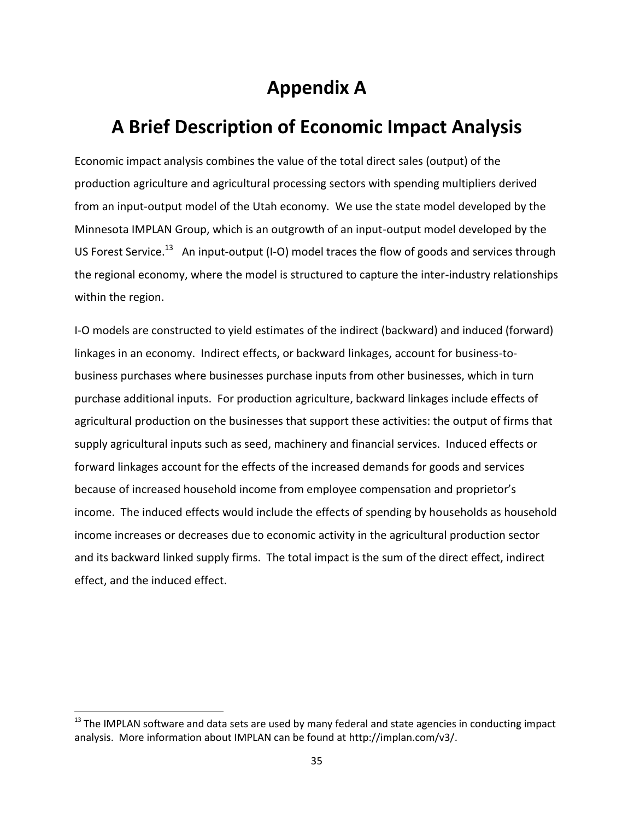# **Appendix A**

# **A Brief Description of Economic Impact Analysis**

Economic impact analysis combines the value of the total direct sales (output) of the production agriculture and agricultural processing sectors with spending multipliers derived from an input-output model of the Utah economy. We use the state model developed by the Minnesota IMPLAN Group, which is an outgrowth of an input-output model developed by the US Forest Service.<sup>13</sup> An input-output (I-O) model traces the flow of goods and services through the regional economy, where the model is structured to capture the inter-industry relationships within the region.

I-O models are constructed to yield estimates of the indirect (backward) and induced (forward) linkages in an economy. Indirect effects, or backward linkages, account for business-tobusiness purchases where businesses purchase inputs from other businesses, which in turn purchase additional inputs. For production agriculture, backward linkages include effects of agricultural production on the businesses that support these activities: the output of firms that supply agricultural inputs such as seed, machinery and financial services. Induced effects or forward linkages account for the effects of the increased demands for goods and services because of increased household income from employee compensation and proprietor's income. The induced effects would include the effects of spending by households as household income increases or decreases due to economic activity in the agricultural production sector and its backward linked supply firms. The total impact is the sum of the direct effect, indirect effect, and the induced effect.

 $\overline{\phantom{a}}$ 

 $13$  The IMPLAN software and data sets are used by many federal and state agencies in conducting impact analysis. More information about IMPLAN can be found at http://implan.com/v3/.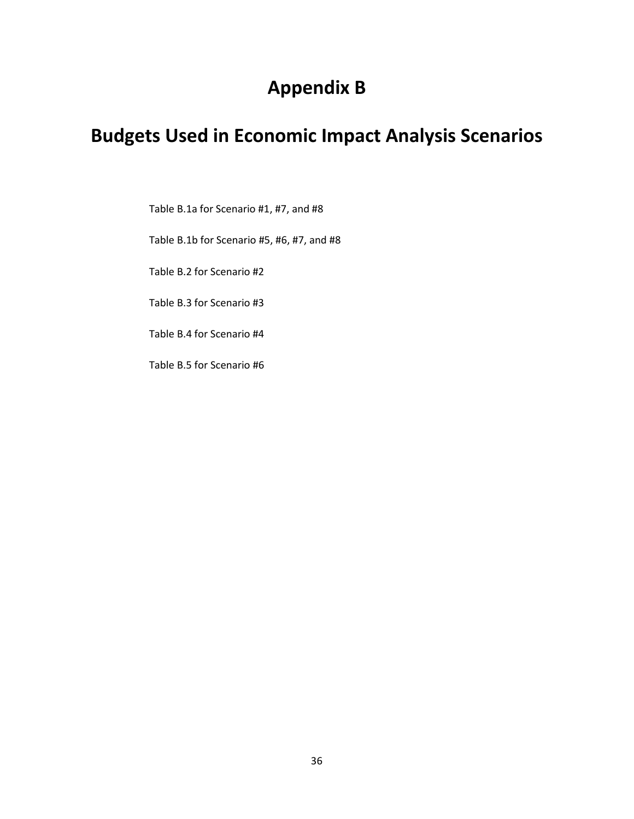# **Appendix B**

# **Budgets Used in Economic Impact Analysis Scenarios**

Table B.1a for Scenario #1, #7, and #8

Table B.1b for Scenario #5, #6, #7, and #8

Table B.2 for Scenario #2

Table B.3 for Scenario #3

Table B.4 for Scenario #4

Table B.5 for Scenario #6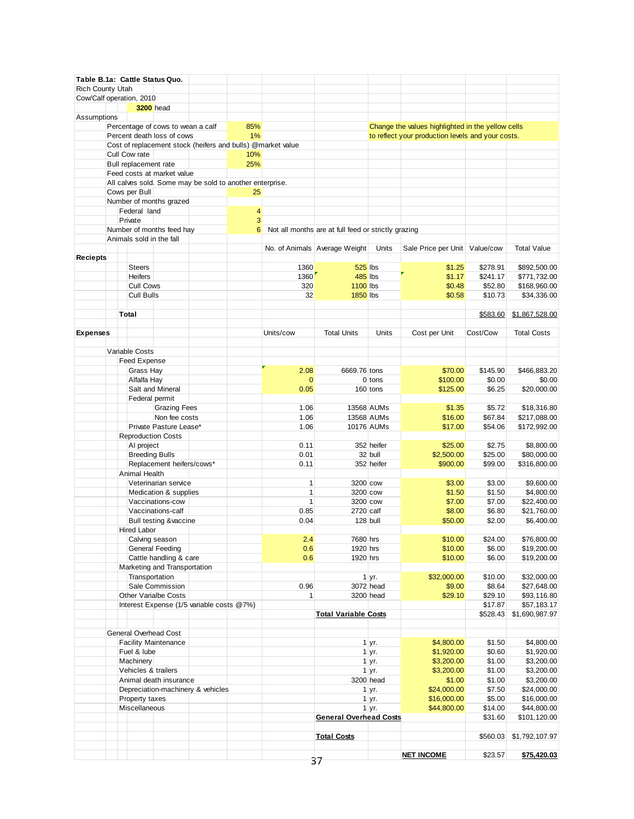|                          |  |                       | Table B.1a: Cattle Status Quo.    |                                                             |     |              |                                                     |            |                                                   |          |                    |
|--------------------------|--|-----------------------|-----------------------------------|-------------------------------------------------------------|-----|--------------|-----------------------------------------------------|------------|---------------------------------------------------|----------|--------------------|
| Rich County Utah         |  |                       |                                   |                                                             |     |              |                                                     |            |                                                   |          |                    |
| Cow/Calf operation, 2010 |  |                       |                                   |                                                             |     |              |                                                     |            |                                                   |          |                    |
|                          |  |                       | <b>3200</b> head                  |                                                             |     |              |                                                     |            |                                                   |          |                    |
| Assumptions              |  |                       |                                   |                                                             |     |              |                                                     |            |                                                   |          |                    |
|                          |  |                       | Percentage of cows to wean a calf |                                                             | 85% |              |                                                     |            | Change the values highlighted in the yellow cells |          |                    |
|                          |  |                       | Percent death loss of cows        |                                                             | 1%  |              |                                                     |            | to reflect your production levels and your costs. |          |                    |
|                          |  |                       |                                   | Cost of replacement stock (heifers and bulls) @market value |     |              |                                                     |            |                                                   |          |                    |
|                          |  | Cull Cow rate         |                                   |                                                             | 10% |              |                                                     |            |                                                   |          |                    |
|                          |  | Bull replacement rate |                                   |                                                             | 25% |              |                                                     |            |                                                   |          |                    |
|                          |  |                       | Feed costs at market value        |                                                             |     |              |                                                     |            |                                                   |          |                    |
|                          |  |                       |                                   | All calves sold. Some may be sold to another enterprise.    |     |              |                                                     |            |                                                   |          |                    |
|                          |  | Cows per Bull         |                                   |                                                             | 25  |              |                                                     |            |                                                   |          |                    |
|                          |  |                       | Number of months grazed           |                                                             |     |              |                                                     |            |                                                   |          |                    |
|                          |  | Federal land          |                                   |                                                             | 4   |              |                                                     |            |                                                   |          |                    |
|                          |  | Private               |                                   |                                                             | 3   |              |                                                     |            |                                                   |          |                    |
|                          |  |                       | Number of months feed hay         |                                                             | 6   |              | Not all months are at full feed or strictly grazing |            |                                                   |          |                    |
|                          |  |                       | Animals sold in the fall          |                                                             |     |              |                                                     |            |                                                   |          |                    |
|                          |  |                       |                                   |                                                             |     |              | No. of Animals Average Weight                       | Units      | Sale Price per Unit   Value/cow                   |          | <b>Total Value</b> |
| <b>Reciepts</b>          |  |                       |                                   |                                                             |     |              |                                                     |            |                                                   |          |                    |
|                          |  | <b>Steers</b>         |                                   |                                                             |     | 1360         | <b>525 lbs</b>                                      |            | \$1.25                                            | \$278.91 | \$892,500.00       |
|                          |  | Heifers               |                                   |                                                             |     | 1360         | 485 lbs                                             |            | \$1.17                                            | \$241.17 | \$771,732.00       |
|                          |  | <b>Cull Cows</b>      |                                   |                                                             |     | 320          | <b>1100 lbs</b>                                     |            | \$0.48                                            | \$52.80  | \$168,960.00       |
|                          |  | Cull Bulls            |                                   |                                                             |     | 32           | <b>1850</b> lbs                                     |            | \$0.58                                            | \$10.73  | \$34,336.00        |
|                          |  |                       |                                   |                                                             |     |              |                                                     |            |                                                   |          |                    |
|                          |  | Total                 |                                   |                                                             |     |              |                                                     |            |                                                   | \$583.60 | \$1,867,528.00     |
|                          |  |                       |                                   |                                                             |     |              |                                                     |            |                                                   |          |                    |
|                          |  |                       |                                   |                                                             |     |              |                                                     |            |                                                   |          |                    |
| <b>Expenses</b>          |  |                       |                                   |                                                             |     | Units/cow    | <b>Total Units</b>                                  | Units      | Cost per Unit                                     | Cost/Cow | <b>Total Costs</b> |
|                          |  |                       |                                   |                                                             |     |              |                                                     |            |                                                   |          |                    |
|                          |  | Variable Costs        |                                   |                                                             |     |              |                                                     |            |                                                   |          |                    |
|                          |  | Feed Expense          |                                   |                                                             |     |              |                                                     |            |                                                   |          |                    |
|                          |  | Grass Hay             |                                   |                                                             |     | 2.08         | 6669.76 tons                                        |            | \$70.00                                           | \$145.90 | \$466.883.20       |
|                          |  | Alfalfa Hay           |                                   |                                                             |     | $\mathbf{0}$ |                                                     | $0$ tons   | \$100.00                                          | \$0.00   | \$0.00             |
|                          |  |                       | Salt and Mineral                  |                                                             |     | 0.05         |                                                     | 160 tons   | \$125.00                                          | \$6.25   | \$20,000.00        |
|                          |  | Federal permit        |                                   |                                                             |     |              |                                                     |            |                                                   |          |                    |
|                          |  |                       | <b>Grazing Fees</b>               |                                                             |     | 1.06         |                                                     | 13568 AUMs | \$1.35                                            | \$5.72   | \$18,316.80        |
|                          |  |                       | Non fee costs                     |                                                             |     | 1.06         |                                                     | 13568 AUMs | \$16.00                                           | \$67.84  | \$217,088.00       |
|                          |  |                       | Private Pasture Lease*            |                                                             |     | 1.06         |                                                     | 10176 AUMs | \$17.00                                           | \$54.06  | \$172,992.00       |
|                          |  |                       | <b>Reproduction Costs</b>         |                                                             |     |              |                                                     |            |                                                   |          |                    |
|                          |  | AI project            |                                   |                                                             |     | 0.11         |                                                     | 352 heifer | \$25.00                                           | \$2.75   | \$8,800.00         |
|                          |  | <b>Breeding Bulls</b> |                                   |                                                             |     | 0.01         |                                                     | 32 bull    | \$2,500.00                                        | \$25.00  | \$80,000.00        |
|                          |  |                       | Replacement heifers/cows*         |                                                             |     | 0.11         |                                                     | 352 heifer | \$900.00                                          | \$99.00  | \$316,800.00       |
|                          |  | Animal Health         |                                   |                                                             |     |              |                                                     |            |                                                   |          |                    |
|                          |  |                       | Veterinarian service              |                                                             |     | 1            | 3200 cow                                            |            | \$3.00                                            | \$3.00   | \$9,600.00         |
|                          |  |                       | Medication & supplies             |                                                             |     | 1            | 3200 cow                                            |            | \$1.50                                            | \$1.50   | \$4,800.00         |
|                          |  |                       | Vaccinations-cow                  |                                                             |     | $\mathbf{1}$ | 3200 cow                                            |            | \$7.00                                            | \$7.00   | \$22,400.00        |
|                          |  |                       | Vaccinations-calf                 |                                                             |     | 0.85         | 2720 calf                                           |            | \$8.00                                            | \$6.80   | \$21,760.00        |
|                          |  |                       | Bull testing & vaccine            |                                                             |     | 0.04         |                                                     | 128 bull   | \$50.00                                           | \$2.00   | \$6,400.00         |
|                          |  | Hired Labor           |                                   |                                                             |     |              |                                                     |            |                                                   |          |                    |
|                          |  |                       | Calving season                    |                                                             |     | 2.4          | 7680 hrs                                            |            | \$10.00                                           | \$24.00  | \$76,800.00        |
|                          |  |                       | General Feeding                   |                                                             |     | 0.6          | 1920 hrs                                            |            | \$10.00                                           | \$6.00   | \$19,200.00        |
|                          |  |                       | Cattle handling & care            |                                                             |     | 0.6          | 1920 hrs                                            |            | \$10.00                                           | \$6.00   | \$19,200.00        |
|                          |  |                       | Marketing and Transportation      |                                                             |     |              |                                                     |            |                                                   |          |                    |
|                          |  | Transportation        |                                   |                                                             |     |              |                                                     | 1 yr.      | \$32,000.00                                       | \$10.00  | \$32,000.00        |
|                          |  |                       | Sale Commission                   |                                                             |     | 0.96         |                                                     | 3072 head  | \$9.00                                            | \$8.64   | \$27,648.00        |
|                          |  |                       | <b>Other Varialbe Costs</b>       |                                                             |     | $\mathbf{1}$ |                                                     | 3200 head  | \$29.10                                           | \$29.10  | \$93,116.80        |
|                          |  |                       |                                   |                                                             |     |              |                                                     |            |                                                   |          |                    |
|                          |  |                       |                                   | Interest Expense (1/5 variable costs @7%)                   |     |              |                                                     |            |                                                   | \$17.87  | \$57,183.17        |
|                          |  |                       |                                   |                                                             |     |              | <b>Total Variable Costs</b>                         |            |                                                   | \$528.43 | \$1,690,987.97     |
|                          |  |                       |                                   |                                                             |     |              |                                                     |            |                                                   |          |                    |
|                          |  |                       | General Overhead Cost             |                                                             |     |              |                                                     |            |                                                   |          |                    |
|                          |  |                       | <b>Facility Maintenance</b>       |                                                             |     |              |                                                     | 1 yr.      | \$4,800.00                                        | \$1.50   | \$4,800.00         |
|                          |  | Fuel & lube           |                                   |                                                             |     |              |                                                     | $1 \, yr.$ | \$1,920.00                                        | \$0.60   | \$1,920.00         |
|                          |  | Machinery             |                                   |                                                             |     |              |                                                     | 1 yr.      | \$3,200.00                                        | \$1.00   | \$3,200.00         |
|                          |  | Vehicles & trailers   |                                   |                                                             |     |              |                                                     | 1 yr.      | \$3,200.00                                        | \$1.00   | \$3,200.00         |
|                          |  |                       | Animal death insurance            |                                                             |     |              |                                                     | 3200 head  | \$1.00                                            | \$1.00   | \$3,200.00         |
|                          |  |                       |                                   | Depreciation-machinery & vehicles                           |     |              |                                                     | 1 yr.      | \$24,000.00                                       | \$7.50   | \$24,000.00        |
|                          |  | Property taxes        |                                   |                                                             |     |              |                                                     | 1 yr.      | \$16,000.00                                       | \$5.00   | \$16,000.00        |
|                          |  | Miscellaneous         |                                   |                                                             |     |              |                                                     | 1 yr.      | \$44,800.00                                       | \$14.00  | \$44,800.00        |
|                          |  |                       |                                   |                                                             |     |              | <b>General Overhead Costs</b>                       |            |                                                   | \$31.60  | \$101,120.00       |
|                          |  |                       |                                   |                                                             |     |              |                                                     |            |                                                   |          |                    |
|                          |  |                       |                                   |                                                             |     |              | <b>Total Costs</b>                                  |            |                                                   | \$560.03 | \$1,792,107.97     |
|                          |  |                       |                                   |                                                             |     |              |                                                     |            |                                                   |          |                    |
|                          |  |                       |                                   |                                                             |     |              |                                                     |            | <b>NET INCOME</b>                                 | \$23.57  | \$75,420.03        |
|                          |  |                       |                                   |                                                             |     |              | 37                                                  |            |                                                   |          |                    |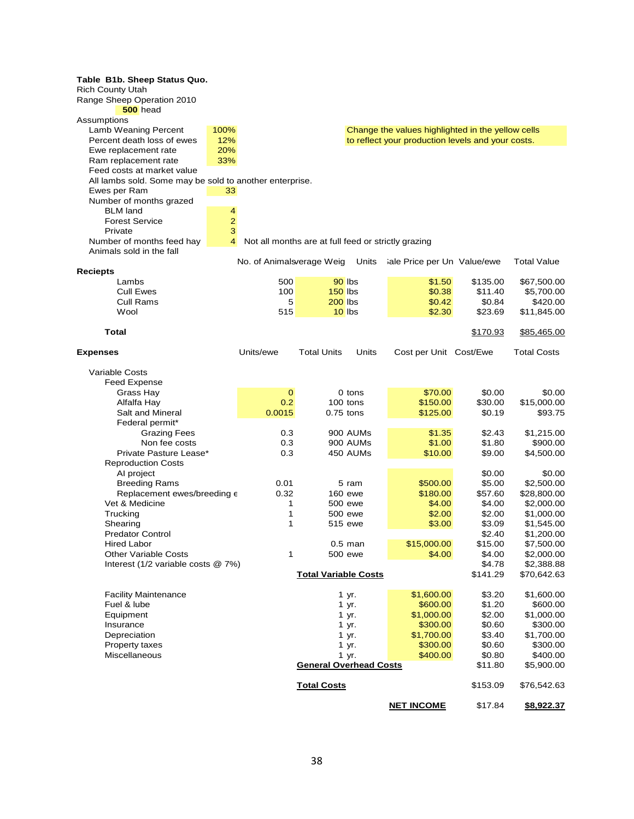| Table B1b. Sheep Status Quo.                            |                |                                                     |                               |           |                                                   |          |                    |
|---------------------------------------------------------|----------------|-----------------------------------------------------|-------------------------------|-----------|---------------------------------------------------|----------|--------------------|
| <b>Rich County Utah</b>                                 |                |                                                     |                               |           |                                                   |          |                    |
| Range Sheep Operation 2010                              |                |                                                     |                               |           |                                                   |          |                    |
| 500 head                                                |                |                                                     |                               |           |                                                   |          |                    |
| Assumptions                                             |                |                                                     |                               |           |                                                   |          |                    |
| Lamb Weaning Percent                                    | 100%           |                                                     |                               |           | Change the values highlighted in the yellow cells |          |                    |
| Percent death loss of ewes                              | 12%            |                                                     |                               |           | to reflect your production levels and your costs. |          |                    |
| Ewe replacement rate                                    | 20%            |                                                     |                               |           |                                                   |          |                    |
| Ram replacement rate                                    | 33%            |                                                     |                               |           |                                                   |          |                    |
| Feed costs at market value                              |                |                                                     |                               |           |                                                   |          |                    |
|                                                         |                |                                                     |                               |           |                                                   |          |                    |
| All lambs sold. Some may be sold to another enterprise. |                |                                                     |                               |           |                                                   |          |                    |
| Ewes per Ram                                            | 33             |                                                     |                               |           |                                                   |          |                    |
| Number of months grazed                                 |                |                                                     |                               |           |                                                   |          |                    |
| <b>BLM</b> land                                         | 4              |                                                     |                               |           |                                                   |          |                    |
| <b>Forest Service</b>                                   | $\overline{2}$ |                                                     |                               |           |                                                   |          |                    |
| Private                                                 | 3              |                                                     |                               |           |                                                   |          |                    |
| Number of months feed hay                               | 4              | Not all months are at full feed or strictly grazing |                               |           |                                                   |          |                    |
| Animals sold in the fall                                |                |                                                     |                               |           |                                                   |          |                    |
|                                                         |                | No. of Animalsverage Weig                           |                               | Units     | iale Price per Un Value/ewe                       |          | <b>Total Value</b> |
| <b>Reciepts</b>                                         |                |                                                     |                               |           |                                                   |          |                    |
| Lambs                                                   |                | 500                                                 | 90 lbs                        |           | \$1.50                                            | \$135.00 | \$67,500.00        |
| <b>Cull Ewes</b>                                        |                | 100                                                 | $150$ lbs                     |           | \$0.38                                            | \$11.40  | \$5,700.00         |
| <b>Cull Rams</b>                                        |                | 5                                                   | <b>200 lbs</b>                |           | \$0.42                                            | \$0.84   | \$420.00           |
| Wool                                                    |                | 515                                                 | $10$ lbs                      |           | \$2.30                                            | \$23.69  | \$11,845.00        |
|                                                         |                |                                                     |                               |           |                                                   |          |                    |
| Total                                                   |                |                                                     |                               |           |                                                   | \$170.93 | \$85,465.00        |
|                                                         |                |                                                     |                               |           |                                                   |          |                    |
| <b>Expenses</b>                                         |                | Units/ewe                                           | <b>Total Units</b>            | Units     | Cost per Unit Cost/Ewe                            |          | <b>Total Costs</b> |
|                                                         |                |                                                     |                               |           |                                                   |          |                    |
| <b>Variable Costs</b>                                   |                |                                                     |                               |           |                                                   |          |                    |
| <b>Feed Expense</b>                                     |                |                                                     |                               |           |                                                   |          |                    |
|                                                         |                | $\mathbf 0$                                         |                               | 0 tons    | \$70.00                                           | \$0.00   | \$0.00             |
| Grass Hay                                               |                |                                                     |                               |           |                                                   |          |                    |
| Alfalfa Hay                                             |                | 0.2                                                 | 100 tons                      |           | \$150.00                                          | \$30.00  | \$15,000.00        |
| Salt and Mineral                                        |                | 0.0015                                              | $0.75$ tons                   |           | \$125.00                                          | \$0.19   | \$93.75            |
| Federal permit*                                         |                |                                                     |                               |           |                                                   |          |                    |
| <b>Grazing Fees</b>                                     |                | 0.3                                                 |                               | 900 AUMs  | \$1.35                                            | \$2.43   | \$1,215.00         |
| Non fee costs                                           |                | 0.3                                                 |                               | 900 AUMs  | \$1.00                                            | \$1.80   | \$900.00           |
| Private Pasture Lease*                                  |                | 0.3                                                 |                               | 450 AUMs  | \$10.00                                           | \$9.00   | \$4,500.00         |
| <b>Reproduction Costs</b>                               |                |                                                     |                               |           |                                                   |          |                    |
| Al project                                              |                |                                                     |                               |           |                                                   | \$0.00   | \$0.00             |
| <b>Breeding Rams</b>                                    |                | 0.01                                                |                               | 5 ram     | \$500.00                                          | \$5.00   | \$2,500.00         |
| Replacement ewes/breeding e                             |                | 0.32                                                | 160 ewe                       |           | \$180.00                                          | \$57.60  | \$28,800.00        |
| Vet & Medicine                                          |                | 1                                                   | 500 ewe                       |           | \$4.00                                            | \$4.00   | \$2,000.00         |
| Trucking                                                |                | 1                                                   | 500 ewe                       |           | \$2.00                                            | \$2.00   | \$1,000.00         |
| Shearing                                                |                | 1                                                   | 515 ewe                       |           | \$3.00                                            | \$3.09   | \$1,545.00         |
| <b>Predator Control</b>                                 |                |                                                     |                               |           |                                                   | \$2.40   | \$1,200.00         |
| <b>Hired Labor</b>                                      |                |                                                     |                               | $0.5$ man | \$15,000.00                                       | \$15.00  | \$7,500.00         |
| <b>Other Variable Costs</b>                             |                | 1                                                   | 500 ewe                       |           | \$4.00                                            | \$4.00   | \$2,000.00         |
| Interest (1/2 variable costs @ 7%)                      |                |                                                     |                               |           |                                                   | \$4.78   | \$2,388.88         |
|                                                         |                |                                                     | <b>Total Variable Costs</b>   |           |                                                   | \$141.29 | \$70,642.63        |
|                                                         |                |                                                     |                               |           |                                                   |          |                    |
| <b>Facility Maintenance</b>                             |                |                                                     |                               | 1 yr.     | \$1,600.00                                        | \$3.20   | \$1,600.00         |
| Fuel & lube                                             |                |                                                     |                               | 1 yr.     | \$600.00                                          | \$1.20   | \$600.00           |
|                                                         |                |                                                     |                               |           |                                                   |          |                    |
| Equipment                                               |                |                                                     |                               | 1 yr.     | \$1,000.00                                        | \$2.00   | \$1,000.00         |
| Insurance                                               |                |                                                     |                               | 1 yr.     | \$300.00                                          | \$0.60   | \$300.00           |
| Depreciation                                            |                |                                                     |                               | 1 yr.     | \$1,700.00                                        | \$3.40   | \$1,700.00         |
| Property taxes                                          |                |                                                     |                               | 1 yr.     | \$300.00                                          | \$0.60   | \$300.00           |
| Miscellaneous                                           |                |                                                     | 1 yr.                         | \$400.00  | \$0.80                                            | \$400.00 |                    |
|                                                         |                |                                                     | <b>General Overhead Costs</b> |           |                                                   | \$11.80  | \$5,900.00         |
|                                                         |                |                                                     |                               |           |                                                   |          |                    |
|                                                         |                |                                                     | <b>Total Costs</b>            |           |                                                   | \$153.09 | \$76,542.63        |
|                                                         |                |                                                     |                               |           |                                                   |          |                    |
|                                                         |                |                                                     |                               |           | <b>NET INCOME</b>                                 | \$17.84  | \$8,922.37         |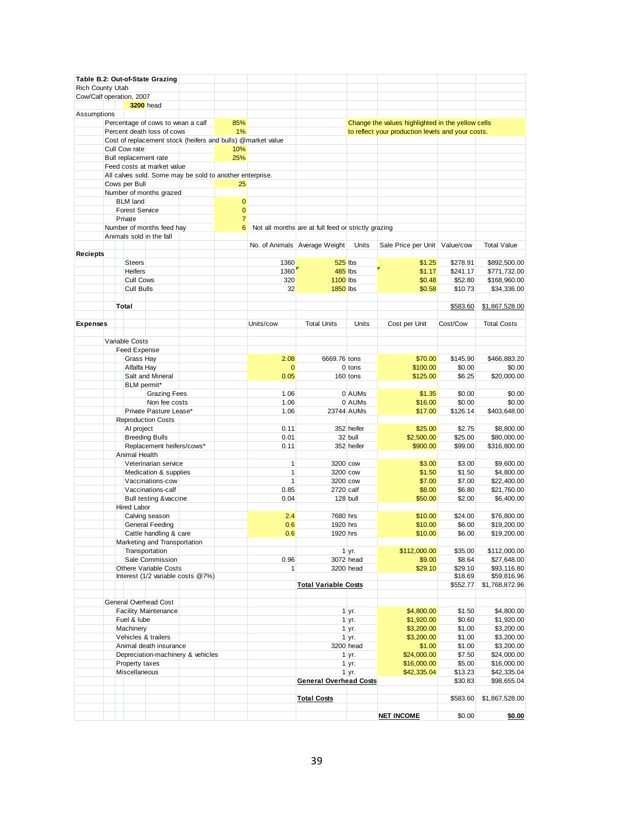|                  |                                 | Table B.2: Out-of-State Grazing           |                                                          |                |                                                             |                                                     |                  |                                                   |                    |                            |
|------------------|---------------------------------|-------------------------------------------|----------------------------------------------------------|----------------|-------------------------------------------------------------|-----------------------------------------------------|------------------|---------------------------------------------------|--------------------|----------------------------|
| Rich County Utah |                                 |                                           |                                                          |                |                                                             |                                                     |                  |                                                   |                    |                            |
|                  | Cow/Calf operation, 2007        | <b>3200</b> head                          |                                                          |                |                                                             |                                                     |                  |                                                   |                    |                            |
| Assumptions      |                                 |                                           |                                                          |                |                                                             |                                                     |                  |                                                   |                    |                            |
|                  |                                 | Percentage of cows to wean a calf         |                                                          | 85%            |                                                             |                                                     |                  | Change the values highlighted in the yellow cells |                    |                            |
|                  |                                 | Percent death loss of cows                |                                                          | 1%             |                                                             |                                                     |                  | to reflect your production levels and your costs. |                    |                            |
|                  |                                 |                                           |                                                          |                | Cost of replacement stock (heifers and bulls) @market value |                                                     |                  |                                                   |                    |                            |
|                  | Cull Cow rate                   |                                           |                                                          | 10%            |                                                             |                                                     |                  |                                                   |                    |                            |
|                  | Bull replacement rate           |                                           |                                                          | 25%            |                                                             |                                                     |                  |                                                   |                    |                            |
|                  |                                 | Feed costs at market value                |                                                          |                |                                                             |                                                     |                  |                                                   |                    |                            |
|                  |                                 |                                           | All calves sold. Some may be sold to another enterprise. |                |                                                             |                                                     |                  |                                                   |                    |                            |
|                  | Cows per Bull                   |                                           |                                                          | 25             |                                                             |                                                     |                  |                                                   |                    |                            |
|                  | <b>BLM</b> land                 | Number of months grazed                   |                                                          | $\mathbf{0}$   |                                                             |                                                     |                  |                                                   |                    |                            |
|                  | <b>Forest Service</b>           |                                           |                                                          | $\mathbf{0}$   |                                                             |                                                     |                  |                                                   |                    |                            |
|                  | Private                         |                                           |                                                          | $\overline{7}$ |                                                             |                                                     |                  |                                                   |                    |                            |
|                  |                                 | Number of months feed hay                 |                                                          | 6              |                                                             | Not all months are at full feed or strictly grazing |                  |                                                   |                    |                            |
|                  | Animals sold in the fall        |                                           |                                                          |                |                                                             |                                                     |                  |                                                   |                    |                            |
|                  |                                 |                                           |                                                          |                |                                                             | No. of Animals Average Weight                       | Units            | Sale Price per Unit   Value/cow                   |                    | <b>Total Value</b>         |
| Reciepts         |                                 |                                           |                                                          |                |                                                             |                                                     |                  |                                                   |                    |                            |
|                  | <b>Steers</b>                   |                                           |                                                          |                | 1360                                                        |                                                     | <b>525 lbs</b>   | \$1.25                                            | \$278.91           | \$892,500.00               |
|                  | <b>Heifers</b>                  |                                           |                                                          |                | 1360                                                        |                                                     | 485 lbs          | \$1.17                                            | \$241.17           | \$771,732.00               |
|                  | <b>Cull Cows</b>                |                                           |                                                          |                | 320                                                         | <b>1100 lbs</b>                                     |                  | \$0.48                                            | \$52.80            | \$168,960.00               |
|                  | Cull Bulls                      |                                           |                                                          |                | 32                                                          | <b>1850</b> lbs                                     |                  | \$0.58                                            | \$10.73            | \$34,336.00                |
|                  |                                 |                                           |                                                          |                |                                                             |                                                     |                  |                                                   |                    |                            |
|                  | Total                           |                                           |                                                          |                |                                                             |                                                     |                  |                                                   | \$583.60           | \$1,867,528.00             |
|                  |                                 |                                           |                                                          |                |                                                             |                                                     |                  |                                                   |                    |                            |
| <b>Expenses</b>  |                                 |                                           |                                                          |                | Units/cow                                                   | <b>Total Units</b>                                  | Units            | Cost per Unit                                     | Cost/Cow           | <b>Total Costs</b>         |
|                  |                                 |                                           |                                                          |                |                                                             |                                                     |                  |                                                   |                    |                            |
|                  | Variable Costs                  |                                           |                                                          |                |                                                             |                                                     |                  |                                                   |                    |                            |
|                  | Feed Expense                    |                                           |                                                          |                |                                                             |                                                     |                  |                                                   |                    | \$466.883.20               |
|                  | Grass Hay                       |                                           |                                                          |                | 2.08                                                        | 6669.76 tons                                        | $0$ tons         | \$70.00<br>\$100.00                               | \$145.90           |                            |
|                  | Alfalfa Hay                     | Salt and Mineral                          |                                                          |                | $\mathbf{0}$<br>0.05                                        |                                                     | 160 tons         | \$125.00                                          | \$0.00<br>\$6.25   | \$0.00<br>\$20,000.00      |
|                  | BLM permit*                     |                                           |                                                          |                |                                                             |                                                     |                  |                                                   |                    |                            |
|                  |                                 | <b>Grazing Fees</b>                       |                                                          |                | 1.06                                                        |                                                     | 0 AUMs           | \$1.35                                            | \$0.00             | \$0.00                     |
|                  |                                 | Non fee costs                             |                                                          |                | 1.06                                                        |                                                     | 0 AUMs           | \$16.00                                           | \$0.00             | \$0.00                     |
|                  |                                 | Private Pasture Lease*                    |                                                          |                | 1.06                                                        |                                                     | 23744 AUMs       | \$17.00                                           | \$126.14           | \$403,648.00               |
|                  |                                 | <b>Reproduction Costs</b>                 |                                                          |                |                                                             |                                                     |                  |                                                   |                    |                            |
|                  | AI project                      |                                           |                                                          |                | 0.11                                                        |                                                     | 352 heifer       | \$25.00                                           | \$2.75             | \$8,800.00                 |
|                  |                                 | <b>Breeding Bulls</b>                     |                                                          |                | 0.01                                                        |                                                     | 32 bull          | \$2,500.00                                        | \$25.00            | \$80,000.00                |
|                  |                                 | Replacement heifers/cows*                 |                                                          |                | 0.11                                                        |                                                     | 352 heifer       | \$900.00                                          | \$99.00            | \$316,800.00               |
|                  | Animal Health                   |                                           |                                                          |                |                                                             |                                                     |                  |                                                   |                    |                            |
|                  |                                 | Veterinarian service                      |                                                          |                | $\mathbf{1}$                                                |                                                     | 3200 cow         | \$3.00                                            | \$3.00             | \$9,600.00                 |
|                  |                                 | Medication & supplies                     |                                                          |                | $\mathbf{1}$                                                | 3200 cow                                            |                  | \$1.50                                            | \$1.50             | \$4,800.00                 |
|                  |                                 | Vaccinations-cow                          |                                                          |                | $\mathbf{1}$                                                | 3200 cow                                            |                  | \$7.00                                            | \$7.00             | \$22,400.00                |
|                  |                                 | Vaccinations-calf                         |                                                          |                | 0.85                                                        | 2720 calf                                           |                  | \$8.00                                            | \$6.80             | \$21,760.00                |
|                  |                                 | <b>Bull testing &amp;vaccine</b>          |                                                          |                | 0.04                                                        |                                                     | 128 bull         | \$50.00                                           | \$2.00             | \$6,400.00                 |
|                  | Hired Labor                     |                                           |                                                          |                |                                                             |                                                     |                  |                                                   |                    |                            |
|                  |                                 | Calving season                            |                                                          |                | 2.4                                                         | 7680 hrs                                            |                  | \$10.00                                           | \$24.00            | \$76,800.00                |
|                  |                                 | General Feeding<br>Cattle handling & care |                                                          |                | 0.6<br>0.6                                                  | 1920 hrs<br>1920 hrs                                |                  | \$10.00<br>\$10.00                                | \$6.00<br>\$6.00   | \$19,200.00<br>\$19,200.00 |
|                  |                                 | Marketing and Transportation              |                                                          |                |                                                             |                                                     |                  |                                                   |                    |                            |
|                  |                                 | Transportation                            |                                                          |                |                                                             |                                                     | 1 yr.            | \$112,000.00                                      | \$35.00            | \$112,000.00               |
|                  |                                 | Sale Commission                           |                                                          |                | 0.96                                                        |                                                     | 3072 head        | \$9.00                                            | \$8.64             | \$27,648.00                |
|                  |                                 | <b>Othere Variable Costs</b>              |                                                          |                | $\mathbf{1}$                                                |                                                     | 3200 head        | \$29.10                                           | \$29.10            | \$93,116.80                |
|                  |                                 |                                           | Interest (1/2 variable costs @7%)                        |                |                                                             |                                                     |                  |                                                   | \$18.69            | \$59,816.96                |
|                  |                                 |                                           |                                                          |                |                                                             | <b>Total Variable Costs</b>                         |                  |                                                   | \$552.77           | \$1,768,872.96             |
|                  |                                 |                                           |                                                          |                |                                                             |                                                     |                  |                                                   |                    |                            |
|                  | General Overhead Cost           |                                           |                                                          |                |                                                             |                                                     |                  |                                                   |                    |                            |
|                  |                                 | <b>Facility Maintenance</b>               |                                                          |                |                                                             |                                                     | 1 yr.            | \$4,800.00                                        | \$1.50             | \$4,800.00                 |
|                  | Fuel & lube                     |                                           |                                                          |                |                                                             |                                                     | $1 \, yr.$       | \$1,920.00                                        | \$0.60             | \$1,920.00                 |
|                  | Machinery                       |                                           |                                                          |                |                                                             |                                                     | 1 yr.            | \$3,200.00                                        | \$1.00             | \$3,200.00                 |
|                  | Vehicles & trailers             |                                           |                                                          |                |                                                             |                                                     | 1 yr.            | \$3,200.00                                        | \$1.00             | \$3,200.00                 |
|                  |                                 | Animal death insurance                    |                                                          |                |                                                             |                                                     | 3200 head        | \$1.00                                            | \$1.00             | \$3,200.00                 |
|                  |                                 |                                           | Depreciation-machinery & vehicles                        |                |                                                             |                                                     | 1 yr.            | \$24,000.00<br>\$16,000.00                        | \$7.50             | \$24,000.00                |
|                  | Property taxes<br>Miscellaneous |                                           |                                                          |                |                                                             |                                                     | $1$ yr.<br>1 yr. | \$42,335.04                                       | \$5.00             | \$16,000.00                |
|                  |                                 |                                           |                                                          |                |                                                             | <b>General Overhead Costs</b>                       |                  |                                                   | \$13.23<br>\$30.83 | \$42,335.04<br>\$98,655.04 |
|                  |                                 |                                           |                                                          |                |                                                             |                                                     |                  |                                                   |                    |                            |
|                  |                                 |                                           |                                                          |                |                                                             | <b>Total Costs</b>                                  |                  |                                                   | \$583.60           | \$1,867,528.00             |
|                  |                                 |                                           |                                                          |                |                                                             |                                                     |                  |                                                   |                    |                            |
|                  |                                 |                                           |                                                          |                |                                                             |                                                     |                  | <u>NET INCOME</u>                                 | \$0.00             | \$0.00                     |
|                  |                                 |                                           |                                                          |                |                                                             |                                                     |                  |                                                   |                    |                            |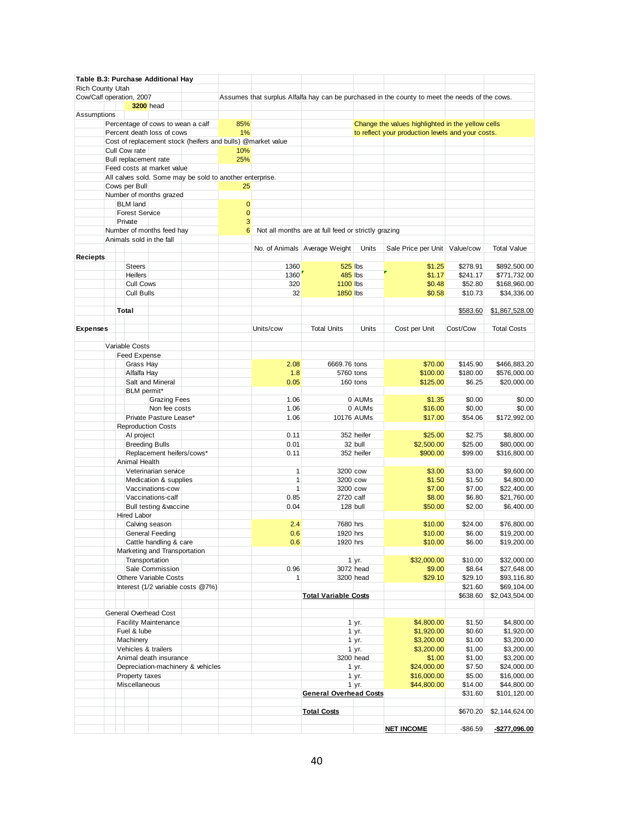|                  | Table B.3: Purchase Additional Hay |                                  |                                                          |                |                                                             |                                                     |                       |                                                                                                |           |                    |
|------------------|------------------------------------|----------------------------------|----------------------------------------------------------|----------------|-------------------------------------------------------------|-----------------------------------------------------|-----------------------|------------------------------------------------------------------------------------------------|-----------|--------------------|
| Rich County Utah |                                    |                                  |                                                          |                |                                                             |                                                     |                       |                                                                                                |           |                    |
|                  | Cow/Calf operation, 2007           |                                  |                                                          |                |                                                             |                                                     |                       | Assumes that surplus Alfalfa hay can be purchased in the county to meet the needs of the cows. |           |                    |
|                  | <b>3200</b> head                   |                                  |                                                          |                |                                                             |                                                     |                       |                                                                                                |           |                    |
| Assumptions      |                                    |                                  |                                                          |                |                                                             |                                                     |                       |                                                                                                |           |                    |
|                  | Percentage of cows to wean a calf  |                                  |                                                          | 85%            |                                                             |                                                     |                       | Change the values highlighted in the yellow cells                                              |           |                    |
|                  | Percent death loss of cows         |                                  |                                                          | 1%             |                                                             |                                                     |                       | to reflect your production levels and your costs.                                              |           |                    |
|                  |                                    |                                  |                                                          |                | Cost of replacement stock (heifers and bulls) @market value |                                                     |                       |                                                                                                |           |                    |
|                  | Cull Cow rate                      |                                  |                                                          | 10%            |                                                             |                                                     |                       |                                                                                                |           |                    |
|                  | Bull replacement rate              |                                  |                                                          | 25%            |                                                             |                                                     |                       |                                                                                                |           |                    |
|                  | Feed costs at market value         |                                  |                                                          |                |                                                             |                                                     |                       |                                                                                                |           |                    |
|                  |                                    |                                  | All calves sold. Some may be sold to another enterprise. |                |                                                             |                                                     |                       |                                                                                                |           |                    |
|                  | Cows per Bull                      |                                  |                                                          | 25             |                                                             |                                                     |                       |                                                                                                |           |                    |
|                  | Number of months grazed            |                                  |                                                          |                |                                                             |                                                     |                       |                                                                                                |           |                    |
|                  | <b>BLM land</b>                    |                                  |                                                          | $\overline{0}$ |                                                             |                                                     |                       |                                                                                                |           |                    |
|                  | <b>Forest Service</b>              |                                  |                                                          | $\mathbf{0}$   |                                                             |                                                     |                       |                                                                                                |           |                    |
|                  | Private                            |                                  |                                                          | 3              |                                                             |                                                     |                       |                                                                                                |           |                    |
|                  | Number of months feed hay          |                                  |                                                          | 6              |                                                             | Not all months are at full feed or strictly grazing |                       |                                                                                                |           |                    |
|                  | Animals sold in the fall           |                                  |                                                          |                |                                                             |                                                     |                       |                                                                                                |           |                    |
|                  |                                    |                                  |                                                          |                |                                                             | No. of Animals Average Weight                       | Units                 | Sale Price per Unit   Value/cow                                                                |           | <b>Total Value</b> |
| <b>Reciepts</b>  |                                    |                                  |                                                          |                |                                                             |                                                     |                       |                                                                                                |           |                    |
|                  | <b>Steers</b>                      |                                  |                                                          |                | 1360                                                        | 525 lbs                                             |                       | \$1.25                                                                                         | \$278.91  | \$892,500.00       |
|                  | <b>Heifers</b>                     |                                  |                                                          |                | 1360                                                        | <b>485 lbs</b>                                      |                       | \$1.17                                                                                         | \$241.17  | \$771,732.00       |
|                  | Cull Cows                          |                                  |                                                          |                | 320                                                         | <b>1100 lbs</b>                                     |                       | \$0.48                                                                                         | \$52.80   | \$168,960.00       |
|                  | <b>Cull Bulls</b>                  |                                  |                                                          |                | 32                                                          | <b>1850 lbs</b>                                     |                       | \$0.58                                                                                         | \$10.73   | \$34,336.00        |
|                  |                                    |                                  |                                                          |                |                                                             |                                                     |                       |                                                                                                |           |                    |
|                  | Total                              |                                  |                                                          |                |                                                             |                                                     |                       |                                                                                                | \$583.60  | \$1,867,528.00     |
|                  |                                    |                                  |                                                          |                |                                                             |                                                     |                       |                                                                                                |           |                    |
| <b>Expenses</b>  |                                    |                                  |                                                          |                | Units/cow                                                   | <b>Total Units</b>                                  | Units                 | Cost per Unit                                                                                  | Cost/Cow  | <b>Total Costs</b> |
|                  |                                    |                                  |                                                          |                |                                                             |                                                     |                       |                                                                                                |           |                    |
|                  | Variable Costs                     |                                  |                                                          |                |                                                             |                                                     |                       |                                                                                                |           |                    |
|                  | Feed Expense                       |                                  |                                                          |                |                                                             |                                                     |                       |                                                                                                |           |                    |
|                  | Grass Hay                          |                                  |                                                          |                | 2.08                                                        | 6669.76 tons                                        |                       | \$70.00                                                                                        | \$145.90  | \$466,883.20       |
|                  | Alfalfa Hay                        |                                  |                                                          |                | 1.8                                                         | 5760 tons                                           |                       | \$100.00                                                                                       | \$180.00  | \$576,000.00       |
|                  |                                    | Salt and Mineral                 |                                                          |                | 0.05                                                        |                                                     | 160 tons              | \$125.00                                                                                       | \$6.25    | \$20,000.00        |
|                  | BLM permit*                        |                                  |                                                          |                |                                                             |                                                     |                       |                                                                                                |           |                    |
|                  |                                    | <b>Grazing Fees</b>              |                                                          |                | 1.06                                                        |                                                     | 0 AUMs                | \$1.35                                                                                         | \$0.00    | \$0.00             |
|                  |                                    | Non fee costs                    |                                                          |                | 1.06                                                        |                                                     | 0 AUMs                | \$16.00                                                                                        | \$0.00    | \$0.00             |
|                  |                                    | Private Pasture Lease*           |                                                          |                | 1.06                                                        |                                                     | 10176 AUMs            | \$17.00                                                                                        | \$54.06   | \$172,992.00       |
|                  | <b>Reproduction Costs</b>          |                                  |                                                          |                |                                                             |                                                     |                       |                                                                                                |           |                    |
|                  | AI project                         |                                  |                                                          |                | 0.11                                                        |                                                     | 352 heifer            | \$25.00                                                                                        | \$2.75    | \$8,800.00         |
|                  | <b>Breeding Bulls</b>              |                                  |                                                          |                | 0.01                                                        |                                                     | 32 bull               | \$2,500.00                                                                                     | \$25.00   | \$80,000.00        |
|                  |                                    | Replacement heifers/cows*        |                                                          |                | 0.11                                                        |                                                     | 352 heifer            | \$900.00                                                                                       | \$99.00   | \$316,800.00       |
|                  | Animal Health                      |                                  |                                                          |                |                                                             |                                                     |                       |                                                                                                |           |                    |
|                  |                                    | Veterinarian service             |                                                          |                | $\mathbf{1}$                                                | 3200 cow                                            |                       | \$3.00                                                                                         | \$3.00    | \$9,600.00         |
|                  |                                    | Medication & supplies            |                                                          |                | 1                                                           | 3200 cow                                            |                       | \$1.50                                                                                         | \$1.50    | \$4,800.00         |
|                  |                                    | Vaccinations-cow                 |                                                          |                | $\mathbf{1}$                                                | 3200 cow                                            |                       | \$7.00                                                                                         | \$7.00    | \$22,400.00        |
|                  |                                    | Vaccinations-calf                |                                                          |                | 0.85                                                        | 2720 calf                                           |                       | \$8.00                                                                                         | \$6.80    | \$21,760.00        |
|                  |                                    | <b>Bull testing &amp;vaccine</b> |                                                          |                | 0.04                                                        | 128 bull                                            |                       | \$50.00                                                                                        | \$2.00    | \$6,400.00         |
|                  | <b>Hired Labor</b>                 |                                  |                                                          |                |                                                             |                                                     |                       |                                                                                                |           |                    |
|                  | Calving season                     |                                  |                                                          |                | 2.4                                                         | 7680 hrs                                            |                       | \$10.00                                                                                        | \$24.00   | \$76,800.00        |
|                  |                                    | General Feeding                  |                                                          |                | 0.6                                                         | 1920 hrs                                            |                       | \$10.00                                                                                        | \$6.00    | \$19,200.00        |
|                  |                                    | Cattle handling & care           |                                                          |                | 0.6                                                         | 1920 hrs                                            |                       | \$10.00                                                                                        | \$6.00    | \$19,200.00        |
|                  |                                    | Marketing and Transportation     |                                                          |                |                                                             |                                                     |                       |                                                                                                |           |                    |
|                  | Transportation                     |                                  |                                                          |                |                                                             |                                                     | $1 \, yr.$            | \$32,000.00                                                                                    | \$10.00   | \$32,000.00        |
|                  |                                    | Sale Commission                  |                                                          |                | 0.96                                                        |                                                     | 3072 head             | \$9.00                                                                                         | \$8.64    | \$27,648.00        |
|                  |                                    | <b>Othere Variable Costs</b>     |                                                          |                | $\mathbf{1}$                                                |                                                     | 3200 head             | \$29.10                                                                                        | \$29.10   | \$93,116.80        |
|                  |                                    |                                  | Interest (1/2 variable costs @7%)                        |                |                                                             |                                                     |                       |                                                                                                | \$21.60   | \$69,104.00        |
|                  |                                    |                                  |                                                          |                |                                                             | <b>Total Variable Costs</b>                         |                       |                                                                                                | \$638.60  | \$2,043,504.00     |
|                  |                                    |                                  |                                                          |                |                                                             |                                                     |                       |                                                                                                |           |                    |
|                  | <b>General Overhead Cost</b>       |                                  |                                                          |                |                                                             |                                                     |                       |                                                                                                |           |                    |
|                  | <b>Facility Maintenance</b>        |                                  |                                                          |                |                                                             |                                                     | $1 \, yr.$            | \$4,800.00                                                                                     | \$1.50    | \$4,800.00         |
|                  | Fuel & lube                        |                                  |                                                          |                |                                                             |                                                     | $1 \, yr.$            | \$1,920.00                                                                                     | \$0.60    | \$1,920.00         |
|                  | Machinery                          |                                  |                                                          |                |                                                             |                                                     | $1 \, yr.$            | \$3,200.00                                                                                     | \$1.00    | \$3,200.00         |
|                  | Vehicles & trailers                |                                  |                                                          |                |                                                             |                                                     | $1 \, yr.$            | \$3,200.00                                                                                     | \$1.00    | \$3,200.00         |
|                  |                                    | Animal death insurance           |                                                          |                |                                                             |                                                     | 3200 head             | \$1.00                                                                                         | \$1.00    | \$3,200.00         |
|                  |                                    |                                  | Depreciation-machinery & vehicles                        |                |                                                             |                                                     | 1 yr.                 | \$24,000.00                                                                                    | \$7.50    | \$24,000.00        |
|                  | Property taxes                     |                                  |                                                          |                |                                                             |                                                     | 1 yr.                 | \$16,000.00                                                                                    | \$5.00    | \$16,000.00        |
|                  | Miscellaneous                      |                                  |                                                          |                |                                                             |                                                     | $1 \vert \text{yr}$ . | \$44,800.00                                                                                    | \$14.00   | \$44,800.00        |
|                  |                                    |                                  |                                                          |                |                                                             | <b>General Overhead Costs</b>                       |                       |                                                                                                | \$31.60   | \$101,120.00       |
|                  |                                    |                                  |                                                          |                |                                                             |                                                     |                       |                                                                                                |           |                    |
|                  |                                    |                                  |                                                          |                |                                                             | <b>Total Costs</b>                                  |                       |                                                                                                | \$670.20  | \$2,144,624.00     |
|                  |                                    |                                  |                                                          |                |                                                             |                                                     |                       |                                                                                                |           |                    |
|                  |                                    |                                  |                                                          |                |                                                             |                                                     |                       | <b>NET INCOME</b>                                                                              | $-$86.59$ | $-$277,096.00$     |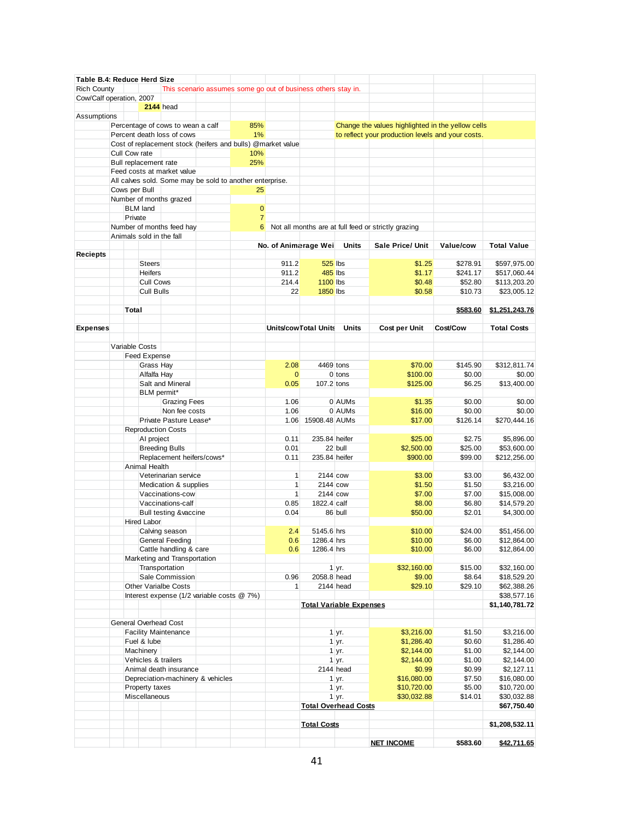| Table B.4: Reduce Herd Size |               |                       |                                                             |                                                               |                |              |                       |                                |                                                     |           |                    |
|-----------------------------|---------------|-----------------------|-------------------------------------------------------------|---------------------------------------------------------------|----------------|--------------|-----------------------|--------------------------------|-----------------------------------------------------|-----------|--------------------|
| <b>Rich County</b>          |               |                       |                                                             | This scenario assumes some go out of business others stay in. |                |              |                       |                                |                                                     |           |                    |
| Cow/Calf operation, 2007    |               |                       |                                                             |                                                               |                |              |                       |                                |                                                     |           |                    |
|                             |               |                       | <b>2144</b> head                                            |                                                               |                |              |                       |                                |                                                     |           |                    |
| Assumptions                 |               |                       |                                                             |                                                               |                |              |                       |                                |                                                     |           |                    |
|                             |               |                       | Percentage of cows to wean a calf                           |                                                               | 85%            |              |                       |                                | Change the values highlighted in the yellow cells   |           |                    |
|                             |               |                       | Percent death loss of cows                                  |                                                               | 1%             |              |                       |                                | to reflect your production levels and your costs.   |           |                    |
|                             |               |                       | Cost of replacement stock (heifers and bulls) @market value |                                                               |                |              |                       |                                |                                                     |           |                    |
|                             | Cull Cow rate |                       |                                                             |                                                               | 10%            |              |                       |                                |                                                     |           |                    |
|                             |               | Bull replacement rate |                                                             |                                                               | 25%            |              |                       |                                |                                                     |           |                    |
|                             |               |                       | Feed costs at market value                                  |                                                               |                |              |                       |                                |                                                     |           |                    |
|                             |               |                       | All calves sold. Some may be sold to another enterprise.    |                                                               |                |              |                       |                                |                                                     |           |                    |
|                             |               | Cows per Bull         |                                                             |                                                               | 25             |              |                       |                                |                                                     |           |                    |
|                             |               |                       | Number of months grazed                                     |                                                               |                |              |                       |                                |                                                     |           |                    |
|                             |               | <b>BLM</b> land       |                                                             |                                                               | $\mathbf{0}$   |              |                       |                                |                                                     |           |                    |
|                             | Private       |                       |                                                             |                                                               | $\overline{7}$ |              |                       |                                |                                                     |           |                    |
|                             |               |                       | Number of months feed hay                                   |                                                               | 6              |              |                       |                                | Not all months are at full feed or strictly grazing |           |                    |
|                             |               |                       | Animals sold in the fall                                    |                                                               |                |              |                       |                                |                                                     |           |                    |
|                             |               |                       |                                                             |                                                               |                |              |                       | Units                          | <b>Sale Price/ Unit</b>                             | Value/cow | <b>Total Value</b> |
|                             |               |                       |                                                             |                                                               |                |              | No. of Animarage Wei  |                                |                                                     |           |                    |
| Reciepts                    |               |                       |                                                             |                                                               |                |              |                       |                                |                                                     |           |                    |
|                             |               | <b>Steers</b>         |                                                             |                                                               |                | 911.2        | <b>525 lbs</b>        |                                | \$1.25                                              | \$278.91  | \$597,975.00       |
|                             |               | <b>Heifers</b>        |                                                             |                                                               |                | 911.2        | 485 lbs               |                                | \$1.17                                              | \$241.17  | \$517,060.44       |
|                             |               | <b>Cull Cows</b>      |                                                             |                                                               |                | 214.4        | <b>1100 lbs</b>       |                                | \$0.48                                              | \$52.80   | \$113,203.20       |
|                             |               | <b>Cull Bulls</b>     |                                                             |                                                               |                | 22           | <b>1850 lbs</b>       |                                | \$0.58                                              | \$10.73   | \$23,005.12        |
|                             |               |                       |                                                             |                                                               |                |              |                       |                                |                                                     |           |                    |
|                             | Total         |                       |                                                             |                                                               |                |              |                       |                                |                                                     | \$583.60  | \$1,251,243.76     |
|                             |               |                       |                                                             |                                                               |                |              |                       |                                |                                                     |           |                    |
| <b>Expenses</b>             |               |                       |                                                             |                                                               |                |              | Units/cow Total Units | <b>Units</b>                   | Cost per Unit                                       | Cost/Cow  | <b>Total Costs</b> |
|                             |               |                       |                                                             |                                                               |                |              |                       |                                |                                                     |           |                    |
|                             |               | Variable Costs        |                                                             |                                                               |                |              |                       |                                |                                                     |           |                    |
|                             |               | <b>Feed Expense</b>   |                                                             |                                                               |                |              |                       |                                |                                                     |           |                    |
|                             |               | Grass Hay             |                                                             |                                                               |                | 2.08         | 4469 tons             |                                | \$70.00                                             | \$145.90  | \$312,811.74       |
|                             |               | Alfalfa Hay           |                                                             |                                                               |                | $\mathbf{0}$ |                       | 0 tons                         | \$100.00                                            | \$0.00    | \$0.00             |
|                             |               |                       | Salt and Mineral                                            |                                                               |                | 0.05         | 107.2 tons            |                                | \$125.00                                            | \$6.25    | \$13,400.00        |
|                             |               | BLM permit*           |                                                             |                                                               |                |              |                       |                                |                                                     |           |                    |
|                             |               |                       |                                                             |                                                               |                | 1.06         |                       | 0 AUMs                         | \$1.35                                              | \$0.00    | \$0.00             |
|                             |               |                       | <b>Grazing Fees</b>                                         |                                                               |                |              |                       |                                |                                                     |           |                    |
|                             |               |                       | Non fee costs                                               |                                                               |                | 1.06         |                       | 0 AUMs                         | \$16.00                                             | \$0.00    | \$0.00             |
|                             |               |                       | Private Pasture Lease*                                      |                                                               |                | 1.06         | 15908.48 AUMs         |                                | \$17.00                                             | \$126.14  | \$270,444.16       |
|                             |               |                       | <b>Reproduction Costs</b>                                   |                                                               |                |              |                       |                                |                                                     |           |                    |
|                             |               | AI project            |                                                             |                                                               |                | 0.11         | 235.84 heifer         |                                | \$25.00                                             | \$2.75    | \$5,896.00         |
|                             |               |                       | <b>Breeding Bulls</b>                                       |                                                               |                | 0.01         |                       | 22 bull                        | \$2,500.00                                          | \$25.00   | \$53,600.00        |
|                             |               |                       | Replacement heifers/cows*                                   |                                                               |                | 0.11         | 235.84 heifer         |                                | \$900.00                                            | \$99.00   | \$212,256.00       |
|                             |               | Animal Health         |                                                             |                                                               |                |              |                       |                                |                                                     |           |                    |
|                             |               |                       | Veterinarian service                                        |                                                               |                | 1            | 2144 cow              |                                | \$3.00                                              | \$3.00    | \$6,432.00         |
|                             |               |                       | Medication & supplies                                       |                                                               |                | 1            | 2144 cow              |                                | \$1.50                                              | \$1.50    | \$3,216.00         |
|                             |               |                       | Vaccinations-cow                                            |                                                               |                | $\mathbf{1}$ | 2144 cow              |                                | \$7.00                                              | \$7.00    | \$15,008.00        |
|                             |               |                       | Vaccinations-calf                                           |                                                               |                | 0.85         | 1822.4 calf           |                                | \$8.00                                              | \$6.80    | \$14,579.20        |
|                             |               |                       | Bull testing &vaccine                                       |                                                               |                | 0.04         |                       | 86 bull                        | \$50.00                                             | \$2.01    | \$4,300.00         |
|                             |               | Hired Labor           |                                                             |                                                               |                |              |                       |                                |                                                     |           |                    |
|                             |               |                       |                                                             |                                                               |                |              |                       |                                |                                                     |           |                    |
|                             |               |                       | Calving season                                              |                                                               |                | 2.4          | 5145.6 hrs            |                                | \$10.00                                             | \$24.00   | \$51,456.00        |
|                             |               |                       | General Feeding                                             |                                                               |                | 0.6          | 1286.4 hrs            |                                | \$10.00                                             | \$6.00    | \$12,864.00        |
|                             |               |                       | Cattle handling & care                                      |                                                               |                | 0.6          | 1286.4 hrs            |                                | \$10.00                                             | \$6.00    | \$12,864.00        |
|                             |               |                       | Marketing and Transportation                                |                                                               |                |              |                       |                                |                                                     |           |                    |
|                             |               |                       | Transportation                                              |                                                               |                |              |                       | $1$ yr.                        | \$32,160.00                                         | \$15.00   | \$32,160.00        |
|                             |               |                       | Sale Commission                                             |                                                               |                | 0.96         | 2058.8 head           |                                | \$9.00                                              | \$8.64    | \$18,529.20        |
|                             |               |                       | <b>Other Varialbe Costs</b>                                 |                                                               |                | 1            |                       | 2144 head                      | \$29.10                                             | \$29.10   | \$62,388.26        |
|                             |               |                       | Interest expense (1/2 variable costs @ 7%)                  |                                                               |                |              |                       |                                |                                                     |           | \$38,577.16        |
|                             |               |                       |                                                             |                                                               |                |              |                       | <b>Total Variable Expenses</b> |                                                     |           | \$1,140,781.72     |
|                             |               |                       |                                                             |                                                               |                |              |                       |                                |                                                     |           |                    |
|                             |               |                       | <b>General Overhead Cost</b>                                |                                                               |                |              |                       |                                |                                                     |           |                    |
|                             |               |                       | <b>Facility Maintenance</b>                                 |                                                               |                |              |                       | 1 yr.                          | \$3,216.00                                          | \$1.50    | \$3,216.00         |
|                             |               | Fuel & lube           |                                                             |                                                               |                |              |                       | 1 yr.                          | \$1,286.40                                          | \$0.60    | \$1,286.40         |
|                             |               | Machinery             |                                                             |                                                               |                |              |                       | 1 yr.                          | \$2,144.00                                          | \$1.00    | \$2,144.00         |
|                             |               |                       | Vehicles & trailers                                         |                                                               |                |              |                       | 1 yr.                          | \$2,144.00                                          | \$1.00    | \$2,144.00         |
|                             |               |                       | Animal death insurance                                      |                                                               |                |              |                       | 2144 head                      | \$0.99                                              | \$0.99    | \$2,127.11         |
|                             |               |                       |                                                             |                                                               |                |              |                       |                                |                                                     |           |                    |
|                             |               |                       | Depreciation-machinery & vehicles                           |                                                               |                |              |                       | 1 yr.                          | \$16,080.00                                         | \$7.50    | \$16,080.00        |
|                             |               | Property taxes        |                                                             |                                                               |                |              |                       | 1 yr.                          | \$10,720.00                                         | \$5.00    | \$10,720.00        |
|                             |               | Miscellaneous         |                                                             |                                                               |                |              |                       | $1 \, yr.$                     | \$30,032.88                                         | \$14.01   | \$30,032.88        |
|                             |               |                       |                                                             |                                                               |                |              |                       | <b>Total Overhead Costs</b>    |                                                     |           | \$67,750.40        |
|                             |               |                       |                                                             |                                                               |                |              |                       |                                |                                                     |           |                    |
|                             |               |                       |                                                             |                                                               |                |              | <b>Total Costs</b>    |                                |                                                     |           | \$1,208,532.11     |
|                             |               |                       |                                                             |                                                               |                |              |                       |                                |                                                     |           |                    |
|                             |               |                       |                                                             |                                                               |                |              |                       |                                | <b>NET INCOME</b>                                   | \$583.60  | \$42,711.65        |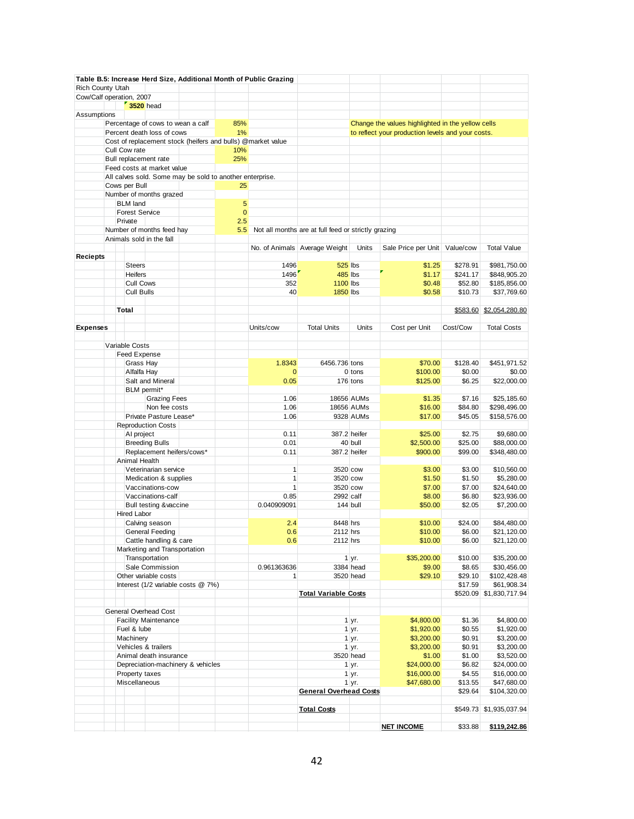|                          |                       |                                                        |                                                             |                | Table B.5: Increase Herd Size, Additional Month of Public Grazing |                                                     |              |                                                   |                  |                           |
|--------------------------|-----------------------|--------------------------------------------------------|-------------------------------------------------------------|----------------|-------------------------------------------------------------------|-----------------------------------------------------|--------------|---------------------------------------------------|------------------|---------------------------|
| Rich County Utah         |                       |                                                        |                                                             |                |                                                                   |                                                     |              |                                                   |                  |                           |
| Cow/Calf operation, 2007 | <b>3520</b> head      |                                                        |                                                             |                |                                                                   |                                                     |              |                                                   |                  |                           |
| Assumptions              |                       |                                                        |                                                             |                |                                                                   |                                                     |              |                                                   |                  |                           |
|                          |                       | Percentage of cows to wean a calf                      |                                                             | 85%            |                                                                   |                                                     |              | Change the values highlighted in the yellow cells |                  |                           |
|                          |                       | Percent death loss of cows                             |                                                             | 1%             |                                                                   |                                                     |              | to reflect your production levels and your costs. |                  |                           |
|                          |                       |                                                        | Cost of replacement stock (heifers and bulls) @market value |                |                                                                   |                                                     |              |                                                   |                  |                           |
|                          | Cull Cow rate         |                                                        |                                                             | 10%            |                                                                   |                                                     |              |                                                   |                  |                           |
|                          | Bull replacement rate | Feed costs at market value                             |                                                             | 25%            |                                                                   |                                                     |              |                                                   |                  |                           |
|                          |                       |                                                        | All calves sold. Some may be sold to another enterprise.    |                |                                                                   |                                                     |              |                                                   |                  |                           |
|                          | Cows per Bull         |                                                        |                                                             | 25             |                                                                   |                                                     |              |                                                   |                  |                           |
|                          |                       | Number of months grazed                                |                                                             |                |                                                                   |                                                     |              |                                                   |                  |                           |
|                          | <b>BLM</b> land       |                                                        |                                                             | $\overline{5}$ |                                                                   |                                                     |              |                                                   |                  |                           |
|                          | <b>Forest Service</b> |                                                        |                                                             | $\mathbf{0}$   |                                                                   |                                                     |              |                                                   |                  |                           |
|                          | Private               |                                                        |                                                             | 2.5            |                                                                   |                                                     |              |                                                   |                  |                           |
|                          |                       | Number of months feed hay<br>Animals sold in the fall  |                                                             | 5.5            |                                                                   | Not all months are at full feed or strictly grazing |              |                                                   |                  |                           |
|                          |                       |                                                        |                                                             |                |                                                                   | No. of Animals Average Weight                       | Units        | Sale Price per Unit   Value/cow                   |                  | <b>Total Value</b>        |
| <b>Reciepts</b>          |                       |                                                        |                                                             |                |                                                                   |                                                     |              |                                                   |                  |                           |
|                          | <b>Steers</b>         |                                                        |                                                             |                | 1496                                                              | <b>525 lbs</b>                                      |              | \$1.25                                            | \$278.91         | \$981,750.00              |
|                          | <b>Heifers</b>        |                                                        |                                                             |                | 1496                                                              | 485 lbs                                             |              | \$1.17                                            | \$241.17         | \$848,905.20              |
|                          | <b>Cull Cows</b>      |                                                        |                                                             |                | 352                                                               | <b>1100 lbs</b>                                     |              | \$0.48                                            | \$52.80          | \$185,856.00              |
|                          | <b>Cull Bulls</b>     |                                                        |                                                             |                | 40                                                                | <b>1850 lbs</b>                                     |              | \$0.58                                            | \$10.73          | \$37,769.60               |
|                          |                       |                                                        |                                                             |                |                                                                   |                                                     |              |                                                   |                  |                           |
|                          | Total                 |                                                        |                                                             |                |                                                                   |                                                     |              |                                                   | \$583.60         | \$2,054,280.80            |
| <b>Expenses</b>          |                       |                                                        |                                                             |                | Units/cow                                                         | <b>Total Units</b>                                  | Units        | Cost per Unit                                     | Cost/Cow         | <b>Total Costs</b>        |
|                          |                       |                                                        |                                                             |                |                                                                   |                                                     |              |                                                   |                  |                           |
|                          | Variable Costs        |                                                        |                                                             |                |                                                                   |                                                     |              |                                                   |                  |                           |
|                          | <b>Feed Expense</b>   |                                                        |                                                             |                |                                                                   |                                                     |              |                                                   |                  |                           |
|                          | Grass Hay             |                                                        |                                                             |                | 1.8343                                                            | 6456.736 tons                                       |              | \$70.00                                           | \$128.40         | \$451,971.52              |
|                          | Alfalfa Hay           |                                                        |                                                             |                | $\mathbf{0}$                                                      |                                                     | $0$ tons     | \$100.00                                          | \$0.00           | \$0.00                    |
|                          |                       | Salt and Mineral                                       |                                                             |                | 0.05                                                              |                                                     | 176 tons     | \$125.00                                          | \$6.25           | \$22,000.00               |
|                          | BLM permit*           | <b>Grazing Fees</b>                                    |                                                             |                | 1.06                                                              |                                                     | 18656 AUMs   | \$1.35                                            | \$7.16           | \$25,185.60               |
|                          |                       | Non fee costs                                          |                                                             |                | 1.06                                                              |                                                     | 18656 AUMs   | \$16.00                                           | \$84.80          | \$298,496.00              |
|                          |                       | Private Pasture Lease*                                 |                                                             |                | 1.06                                                              |                                                     | 9328 AUMs    | \$17.00                                           | \$45.05          | \$158,576.00              |
|                          |                       | <b>Reproduction Costs</b>                              |                                                             |                |                                                                   |                                                     |              |                                                   |                  |                           |
|                          | Al project            |                                                        |                                                             |                | 0.11                                                              |                                                     | 387.2 heifer | \$25.00                                           | \$2.75           | \$9,680.00                |
|                          |                       | <b>Breeding Bulls</b>                                  |                                                             |                | 0.01                                                              |                                                     | 40 bull      | \$2,500.00                                        | \$25.00          | \$88,000.00               |
|                          |                       | Replacement heifers/cows*                              |                                                             |                | 0.11                                                              |                                                     | 387.2 heifer | \$900.00                                          | \$99.00          | \$348,480.00              |
|                          | Animal Health         |                                                        |                                                             |                | $\mathbf{1}$                                                      |                                                     |              |                                                   |                  |                           |
|                          |                       | Veterinarian service<br>Medication & supplies          |                                                             |                | $\mathbf{1}$                                                      | 3520 cow<br>3520 cow                                |              | \$3.00<br>\$1.50                                  | \$3.00<br>\$1.50 | \$10,560.00<br>\$5,280.00 |
|                          |                       | Vaccinations-cow                                       |                                                             |                | $\mathbf{1}$                                                      | 3520 cow                                            |              | \$7.00                                            | \$7.00           | \$24,640.00               |
|                          |                       | Vaccinations-calf                                      |                                                             |                | 0.85                                                              | 2992 calf                                           |              | \$8.00                                            | \$6.80           | \$23,936.00               |
|                          |                       | <b>Bull testing &amp;vaccine</b>                       |                                                             |                | 0.040909091                                                       |                                                     | 144 bull     | \$50.00                                           | \$2.05           | \$7,200.00                |
|                          | Hired Labor           |                                                        |                                                             |                |                                                                   |                                                     |              |                                                   |                  |                           |
|                          |                       | Calving season                                         |                                                             |                | 2.4                                                               | 8448 hrs                                            |              | \$10.00                                           | \$24.00          | \$84,480.00               |
|                          |                       | General Feeding                                        |                                                             |                | 0.6                                                               | 2112 hrs                                            |              | \$10.00                                           | \$6.00           | \$21,120.00               |
|                          |                       | Cattle handling & care<br>Marketing and Transportation |                                                             |                | 0.6                                                               | 2112 hrs                                            |              | \$10.00                                           | \$6.00           | \$21,120.00               |
|                          |                       | Transportation                                         |                                                             |                |                                                                   |                                                     | 1 yr.        | \$35,200.00                                       | \$10.00          | \$35,200.00               |
|                          |                       | Sale Commission                                        |                                                             |                | 0.961363636                                                       |                                                     | 3384 head    | \$9.00                                            | \$8.65           | \$30,456.00               |
|                          |                       | Other variable costs                                   |                                                             |                | 1                                                                 |                                                     | 3520 head    | \$29.10                                           | \$29.10          | \$102,428.48              |
|                          |                       |                                                        | Interest (1/2 variable costs @ 7%)                          |                |                                                                   |                                                     |              |                                                   | \$17.59          | \$61,908.34               |
|                          |                       |                                                        |                                                             |                |                                                                   | <b>Total Variable Costs</b>                         |              |                                                   |                  | \$520.09 \$1,830,717.94   |
|                          |                       |                                                        |                                                             |                |                                                                   |                                                     |              |                                                   |                  |                           |
|                          |                       | General Overhead Cost<br><b>Facility Maintenance</b>   |                                                             |                |                                                                   |                                                     | 1 yr.        | \$4,800.00                                        | \$1.36           | \$4,800.00                |
|                          | Fuel & lube           |                                                        |                                                             |                |                                                                   |                                                     | 1 yr.        | \$1,920.00                                        | \$0.55           | \$1,920.00                |
|                          | Machinery             |                                                        |                                                             |                |                                                                   |                                                     | 1 yr.        | \$3,200.00                                        | \$0.91           | \$3,200.00                |
|                          | Vehicles & trailers   |                                                        |                                                             |                |                                                                   |                                                     | 1 yr.        | \$3,200.00                                        | \$0.91           | \$3,200.00                |
|                          |                       | Animal death insurance                                 |                                                             |                |                                                                   |                                                     | 3520 head    | \$1.00                                            | \$1.00           | \$3,520.00                |
|                          |                       |                                                        | Depreciation-machinery & vehicles                           |                |                                                                   |                                                     | 1 yr.        | \$24,000.00                                       | \$6.82           | \$24,000.00               |
|                          | Property taxes        |                                                        |                                                             |                |                                                                   |                                                     | 1 yr.        | \$16,000.00                                       | \$4.55           | \$16,000.00               |
|                          | Miscellaneous         |                                                        |                                                             |                |                                                                   |                                                     | 1 yr.        | \$47,680.00                                       | \$13.55          | \$47,680.00               |
|                          |                       |                                                        |                                                             |                |                                                                   | <b>General Overhead Costs</b>                       |              |                                                   | \$29.64          | \$104,320.00              |
|                          |                       |                                                        |                                                             |                |                                                                   | <b>Total Costs</b>                                  |              |                                                   |                  | \$549.73 \$1,935,037.94   |
|                          |                       |                                                        |                                                             |                |                                                                   |                                                     |              |                                                   |                  |                           |
|                          |                       |                                                        |                                                             |                |                                                                   |                                                     |              | <b>NET INCOME</b>                                 | \$33.88          | \$119,242.86              |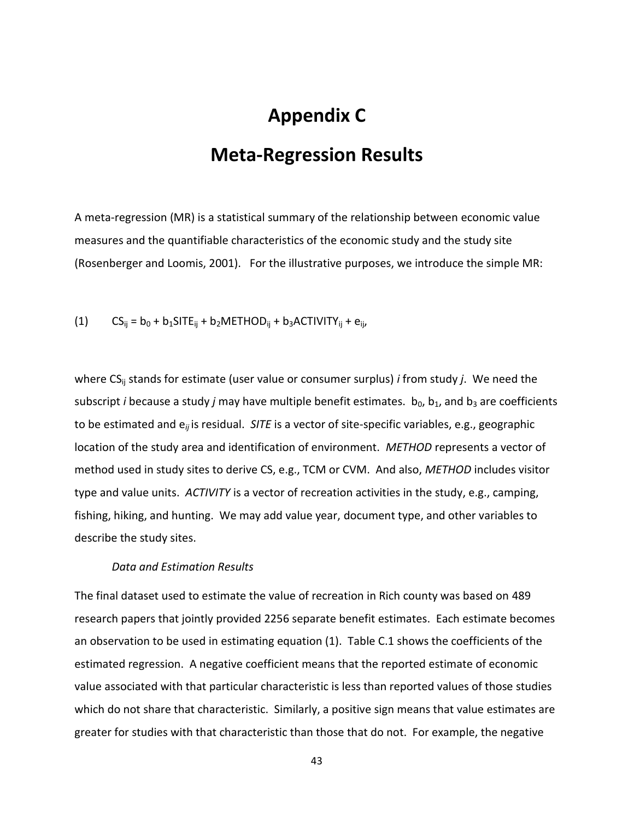## **Appendix C**

### **Meta-Regression Results**

A meta-regression (MR) is a statistical summary of the relationship between economic value measures and the quantifiable characteristics of the economic study and the study site (Rosenberger and Loomis, 2001). For the illustrative purposes, we introduce the simple MR:

(1) 
$$
CS_{ij} = b_0 + b_1 SITE_{ij} + b_2 METHOD_{ij} + b_3 ACTIVITY_{ij} + e_{ij}
$$

where CS<sub>ij</sub> stands for estimate (user value or consumer surplus) *i* from study *j*. We need the subscript *i* because a study *j* may have multiple benefit estimates. b<sub>0</sub>, b<sub>1</sub>, and b<sub>3</sub> are coefficients to be estimated and e*ij* is residual. *SITE* is a vector of site-specific variables, e.g., geographic location of the study area and identification of environment. *METHOD* represents a vector of method used in study sites to derive CS, e.g., TCM or CVM. And also, *METHOD* includes visitor type and value units. *ACTIVITY* is a vector of recreation activities in the study, e.g., camping, fishing, hiking, and hunting. We may add value year, document type, and other variables to describe the study sites.

#### *Data and Estimation Results*

The final dataset used to estimate the value of recreation in Rich county was based on 489 research papers that jointly provided 2256 separate benefit estimates. Each estimate becomes an observation to be used in estimating equation (1). Table C.1 shows the coefficients of the estimated regression. A negative coefficient means that the reported estimate of economic value associated with that particular characteristic is less than reported values of those studies which do not share that characteristic. Similarly, a positive sign means that value estimates are greater for studies with that characteristic than those that do not. For example, the negative

43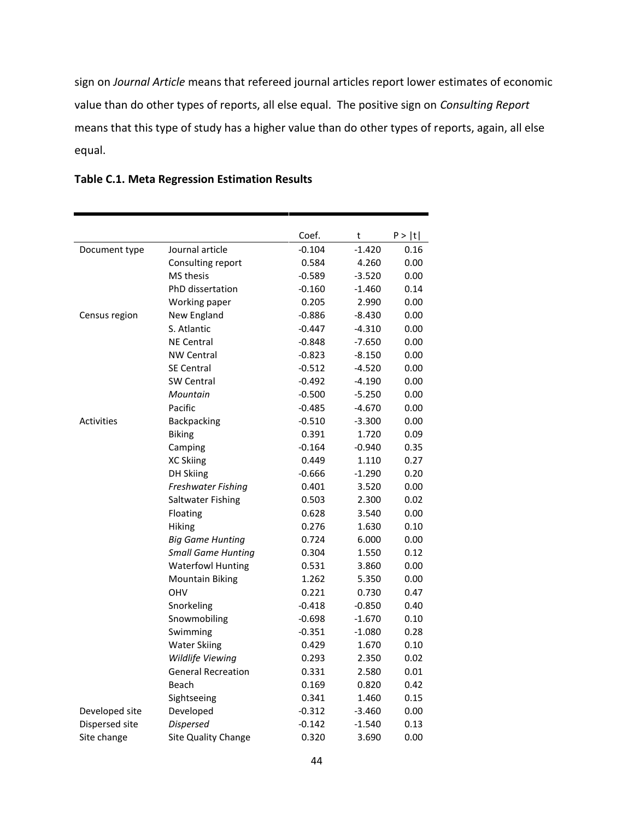sign on *Journal Article* means that refereed journal articles report lower estimates of economic value than do other types of reports, all else equal. The positive sign on *Consulting Report* means that this type of study has a higher value than do other types of reports, again, all else equal.

|                   |                           | Coef.    | t        | P >  t |
|-------------------|---------------------------|----------|----------|--------|
| Document type     | Journal article           | $-0.104$ | $-1.420$ | 0.16   |
|                   | Consulting report         | 0.584    | 4.260    | 0.00   |
|                   | <b>MS</b> thesis          | $-0.589$ | $-3.520$ | 0.00   |
|                   | PhD dissertation          | $-0.160$ | $-1.460$ | 0.14   |
|                   | Working paper             | 0.205    | 2.990    | 0.00   |
| Census region     | New England               | $-0.886$ | $-8.430$ | 0.00   |
|                   | S. Atlantic               | $-0.447$ | $-4.310$ | 0.00   |
|                   | <b>NE Central</b>         | $-0.848$ | $-7.650$ | 0.00   |
|                   | <b>NW Central</b>         | $-0.823$ | $-8.150$ | 0.00   |
|                   | <b>SE Central</b>         | $-0.512$ | $-4.520$ | 0.00   |
|                   | <b>SW Central</b>         | $-0.492$ | -4.190   | 0.00   |
|                   | Mountain                  | $-0.500$ | $-5.250$ | 0.00   |
|                   | Pacific                   | $-0.485$ | $-4.670$ | 0.00   |
| <b>Activities</b> | Backpacking               | $-0.510$ | $-3.300$ | 0.00   |
|                   | <b>Biking</b>             | 0.391    | 1.720    | 0.09   |
|                   | Camping                   | $-0.164$ | $-0.940$ | 0.35   |
|                   | <b>XC Skiing</b>          | 0.449    | 1.110    | 0.27   |
|                   | <b>DH Skiing</b>          | $-0.666$ | $-1.290$ | 0.20   |
|                   | Freshwater Fishing        | 0.401    | 3.520    | 0.00   |
|                   | <b>Saltwater Fishing</b>  | 0.503    | 2.300    | 0.02   |
|                   | Floating                  | 0.628    | 3.540    | 0.00   |
|                   | Hiking                    | 0.276    | 1.630    | 0.10   |
|                   | <b>Big Game Hunting</b>   | 0.724    | 6.000    | 0.00   |
|                   | <b>Small Game Hunting</b> | 0.304    | 1.550    | 0.12   |
|                   | <b>Waterfowl Hunting</b>  | 0.531    | 3.860    | 0.00   |
|                   | <b>Mountain Biking</b>    | 1.262    | 5.350    | 0.00   |
|                   | OHV                       | 0.221    | 0.730    | 0.47   |
|                   | Snorkeling                | $-0.418$ | $-0.850$ | 0.40   |
|                   | Snowmobiling              | $-0.698$ | $-1.670$ | 0.10   |
|                   | Swimming                  | $-0.351$ | $-1.080$ | 0.28   |
|                   | <b>Water Skiing</b>       | 0.429    | 1.670    | 0.10   |
|                   | Wildlife Viewing          | 0.293    | 2.350    | 0.02   |
|                   | <b>General Recreation</b> | 0.331    | 2.580    | 0.01   |
|                   | Beach                     | 0.169    | 0.820    | 0.42   |
|                   | Sightseeing               | 0.341    | 1.460    | 0.15   |
| Developed site    | Developed                 | $-0.312$ | $-3.460$ | 0.00   |
| Dispersed site    | <b>Dispersed</b>          | $-0.142$ | $-1.540$ | 0.13   |
| Site change       | Site Quality Change       | 0.320    | 3.690    | 0.00   |

#### **Table C.1. Meta Regression Estimation Results**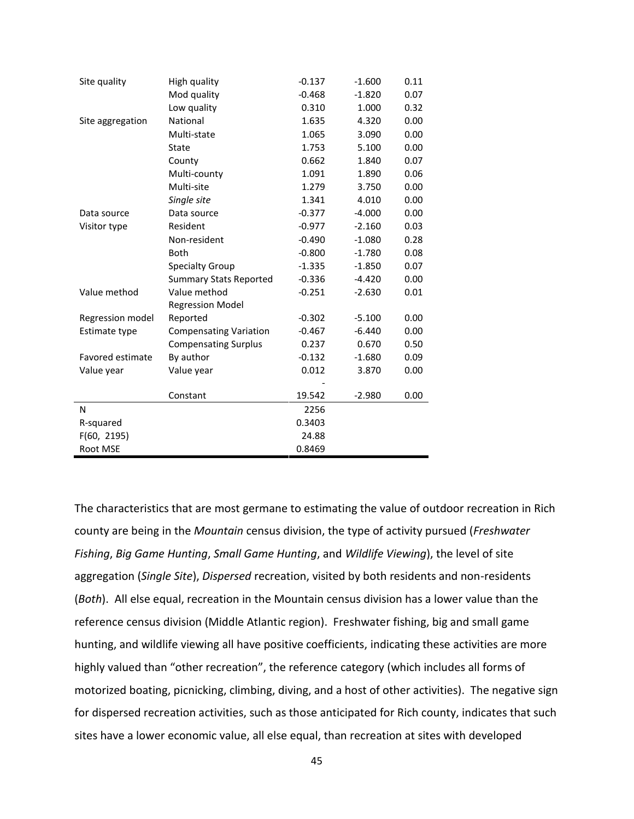| Site quality     | High quality                  | $-0.137$ | $-1.600$ | 0.11 |
|------------------|-------------------------------|----------|----------|------|
|                  | Mod quality                   | $-0.468$ | $-1.820$ | 0.07 |
|                  | Low quality                   | 0.310    | 1.000    | 0.32 |
| Site aggregation | National                      | 1.635    | 4.320    | 0.00 |
|                  | Multi-state                   | 1.065    | 3.090    | 0.00 |
|                  | State                         | 1.753    | 5.100    | 0.00 |
|                  | County                        | 0.662    | 1.840    | 0.07 |
|                  | Multi-county                  | 1.091    | 1.890    | 0.06 |
|                  | Multi-site                    | 1.279    | 3.750    | 0.00 |
|                  | Single site                   | 1.341    | 4.010    | 0.00 |
| Data source      | Data source                   | $-0.377$ | $-4.000$ | 0.00 |
| Visitor type     | Resident                      | $-0.977$ | $-2.160$ | 0.03 |
|                  | Non-resident                  | $-0.490$ | $-1.080$ | 0.28 |
|                  | <b>Both</b>                   | $-0.800$ | $-1.780$ | 0.08 |
|                  | <b>Specialty Group</b>        | $-1.335$ | $-1.850$ | 0.07 |
|                  | <b>Summary Stats Reported</b> | $-0.336$ | $-4.420$ | 0.00 |
| Value method     | Value method                  | $-0.251$ | $-2.630$ | 0.01 |
|                  | <b>Regression Model</b>       |          |          |      |
| Regression model | Reported                      | $-0.302$ | $-5.100$ | 0.00 |
| Estimate type    | <b>Compensating Variation</b> | $-0.467$ | $-6.440$ | 0.00 |
|                  | <b>Compensating Surplus</b>   | 0.237    | 0.670    | 0.50 |
| Favored estimate | By author                     | $-0.132$ | $-1.680$ | 0.09 |
| Value year       | Value year                    | 0.012    | 3.870    | 0.00 |
|                  |                               |          |          |      |
|                  | Constant                      | 19.542   | $-2.980$ | 0.00 |
| N                |                               | 2256     |          |      |
| R-squared        |                               | 0.3403   |          |      |
| F(60, 2195)      |                               | 24.88    |          |      |
| Root MSE         |                               | 0.8469   |          |      |

The characteristics that are most germane to estimating the value of outdoor recreation in Rich county are being in the *Mountain* census division, the type of activity pursued (*Freshwater Fishing*, *Big Game Hunting*, *Small Game Hunting*, and *Wildlife Viewing*), the level of site aggregation (*Single Site*), *Dispersed* recreation, visited by both residents and non-residents (*Both*). All else equal, recreation in the Mountain census division has a lower value than the reference census division (Middle Atlantic region). Freshwater fishing, big and small game hunting, and wildlife viewing all have positive coefficients, indicating these activities are more highly valued than "other recreation", the reference category (which includes all forms of motorized boating, picnicking, climbing, diving, and a host of other activities). The negative sign for dispersed recreation activities, such as those anticipated for Rich county, indicates that such sites have a lower economic value, all else equal, than recreation at sites with developed